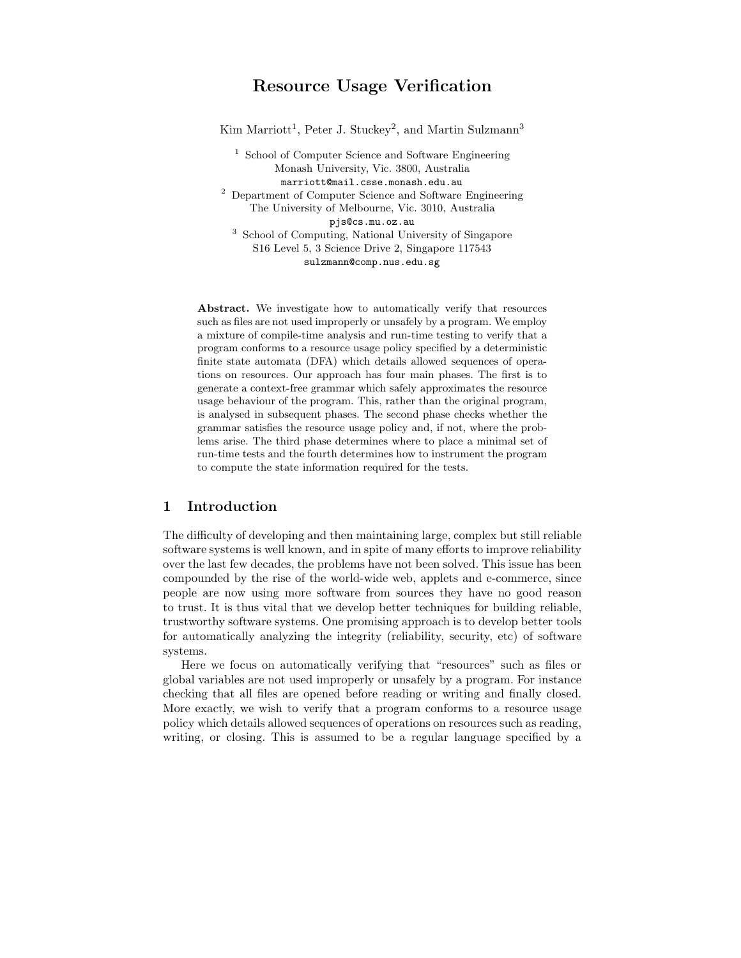# Resource Usage Verification

Kim Marriott<sup>1</sup>, Peter J. Stuckey<sup>2</sup>, and Martin Sulzmann<sup>3</sup>

<sup>1</sup> School of Computer Science and Software Engineering Monash University, Vic. 3800, Australia marriott@mail.csse.monash.edu.au <sup>2</sup> Department of Computer Science and Software Engineering The University of Melbourne, Vic. 3010, Australia pjs@cs.mu.oz.au <sup>3</sup> School of Computing, National University of Singapore S16 Level 5, 3 Science Drive 2, Singapore 117543 sulzmann@comp.nus.edu.sg

Abstract. We investigate how to automatically verify that resources such as files are not used improperly or unsafely by a program. We employ a mixture of compile-time analysis and run-time testing to verify that a program conforms to a resource usage policy specified by a deterministic finite state automata (DFA) which details allowed sequences of operations on resources. Our approach has four main phases. The first is to generate a context-free grammar which safely approximates the resource usage behaviour of the program. This, rather than the original program, is analysed in subsequent phases. The second phase checks whether the grammar satisfies the resource usage policy and, if not, where the problems arise. The third phase determines where to place a minimal set of run-time tests and the fourth determines how to instrument the program to compute the state information required for the tests.

#### 1 Introduction

The difficulty of developing and then maintaining large, complex but still reliable software systems is well known, and in spite of many efforts to improve reliability over the last few decades, the problems have not been solved. This issue has been compounded by the rise of the world-wide web, applets and e-commerce, since people are now using more software from sources they have no good reason to trust. It is thus vital that we develop better techniques for building reliable, trustworthy software systems. One promising approach is to develop better tools for automatically analyzing the integrity (reliability, security, etc) of software systems.

Here we focus on automatically verifying that "resources" such as files or global variables are not used improperly or unsafely by a program. For instance checking that all files are opened before reading or writing and finally closed. More exactly, we wish to verify that a program conforms to a resource usage policy which details allowed sequences of operations on resources such as reading, writing, or closing. This is assumed to be a regular language specified by a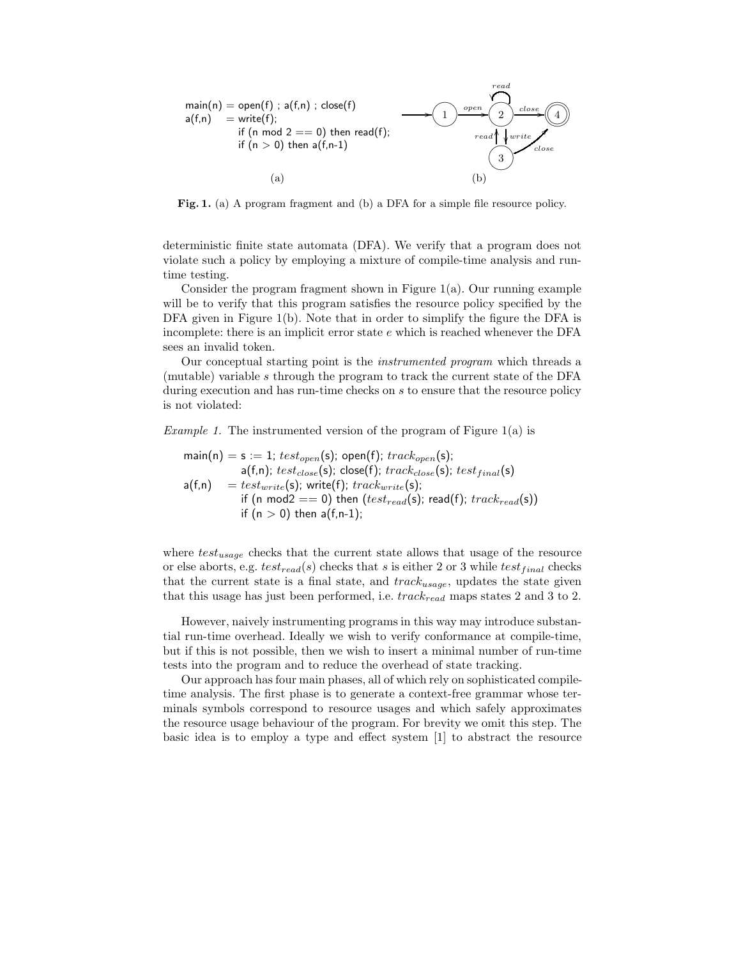

Fig. 1. (a) A program fragment and (b) a DFA for a simple file resource policy.

deterministic finite state automata (DFA). We verify that a program does not violate such a policy by employing a mixture of compile-time analysis and runtime testing.

Consider the program fragment shown in Figure 1(a). Our running example will be to verify that this program satisfies the resource policy specified by the DFA given in Figure 1(b). Note that in order to simplify the figure the DFA is incomplete: there is an implicit error state e which is reached whenever the DFA sees an invalid token.

Our conceptual starting point is the instrumented program which threads a (mutable) variable s through the program to track the current state of the DFA during execution and has run-time checks on s to ensure that the resource policy is not violated:

*Example 1.* The instrumented version of the program of Figure  $1(a)$  is

$$
\begin{array}{ll}\text{main}(n) = s := 1; \text{ } test_{open}(s); \text{ open}(f); \text{ } track_{open}(s); \\ \text{a}(f,n); \text{ } test_{close}(s); \text{ } close(f); \text{ } track_{close}(s); \text{ } test_{final}(s) \\ \text{a}(f,n) & = \text{ } test_{write}(s); \text{ write}(f); \text{ } track_{write}(s); \\ \text{if (n mod2 == 0) then } (\text{ } test_{read}(s); \text{ } read(f); \text{ } track_{read}(s)) \\ \text{if (n > 0) then a(f,n-1);} \end{array}
$$

where  $test_{usage}$  checks that the current state allows that usage of the resource or else aborts, e.g.  $test_{read}(s)$  checks that s is either 2 or 3 while  $test_{final}$  checks that the current state is a final state, and  $track_{usage}$ , updates the state given that this usage has just been performed, i.e.  $track_{read}$  maps states 2 and 3 to 2.

However, naively instrumenting programs in this way may introduce substantial run-time overhead. Ideally we wish to verify conformance at compile-time, but if this is not possible, then we wish to insert a minimal number of run-time tests into the program and to reduce the overhead of state tracking.

Our approach has four main phases, all of which rely on sophisticated compiletime analysis. The first phase is to generate a context-free grammar whose terminals symbols correspond to resource usages and which safely approximates the resource usage behaviour of the program. For brevity we omit this step. The basic idea is to employ a type and effect system [1] to abstract the resource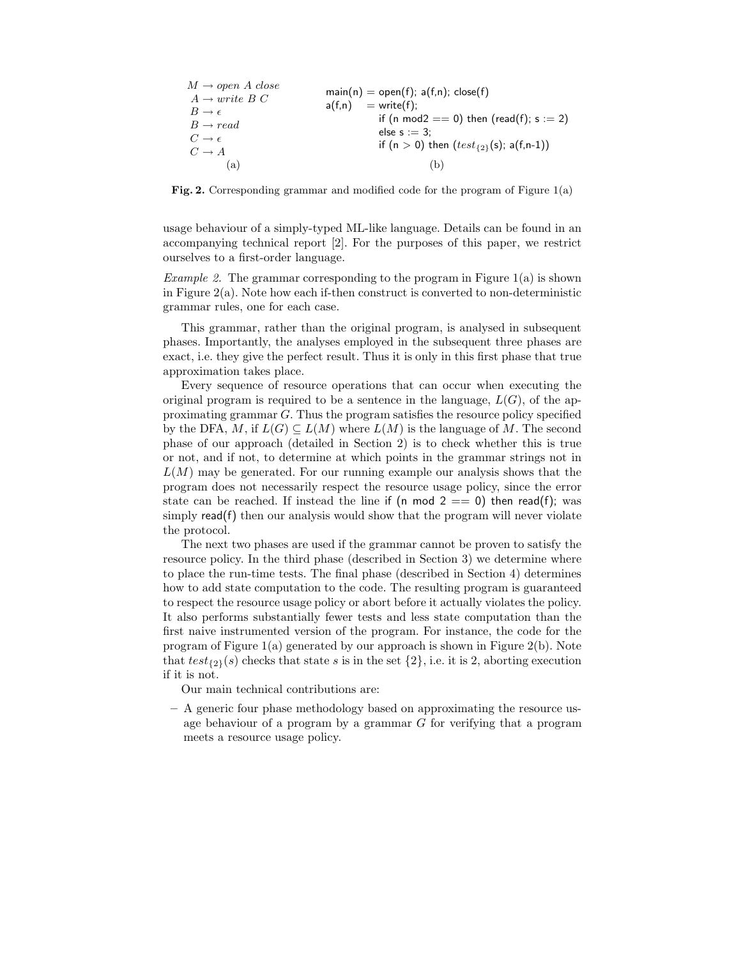$$
M \rightarrow open \ A \ close
$$
  
\n
$$
A \rightarrow write \ B \ C
$$
  
\n
$$
B \rightarrow \epsilon
$$
  
\n
$$
C \rightarrow A
$$
  
\n(a)  
\n
$$
main(n) = open(f); a(f,n); close(f)
$$
  
\n
$$
a(f,n) = open(f); a(f,n); close(f)
$$
  
\n
$$
a(f,n) = open(f); a(f,n); close(f)
$$
  
\n
$$
a(f,n) = write(f); a(f,n); close(f)
$$
  
\n
$$
a(f,n) = write(f); a(f,n) = 2)
$$
  
\n
$$
i \text{ if } (n \text{ odd}) = 0 \text{ then } (read(f); s := 2)
$$
  
\n
$$
c \rightarrow A
$$
  
\n
$$
i \text{ if } (n > 0) \text{ then } (test_{\{2\}}(s); a(f,n-1))
$$
  
\n
$$
i \text{ if } (n > 0) \text{ then } (test_{\{2\}}(s); a(f,n-1))
$$

Fig. 2. Corresponding grammar and modified code for the program of Figure 1(a)

usage behaviour of a simply-typed ML-like language. Details can be found in an accompanying technical report [2]. For the purposes of this paper, we restrict ourselves to a first-order language.

*Example 2.* The grammar corresponding to the program in Figure  $1(a)$  is shown in Figure  $2(a)$ . Note how each if-then construct is converted to non-deterministic grammar rules, one for each case.

This grammar, rather than the original program, is analysed in subsequent phases. Importantly, the analyses employed in the subsequent three phases are exact, i.e. they give the perfect result. Thus it is only in this first phase that true approximation takes place.

Every sequence of resource operations that can occur when executing the original program is required to be a sentence in the language,  $L(G)$ , of the approximating grammar G. Thus the program satisfies the resource policy specified by the DFA, M, if  $L(G) \subseteq L(M)$  where  $L(M)$  is the language of M. The second phase of our approach (detailed in Section 2) is to check whether this is true or not, and if not, to determine at which points in the grammar strings not in  $L(M)$  may be generated. For our running example our analysis shows that the program does not necessarily respect the resource usage policy, since the error state can be reached. If instead the line if (n mod  $2 == 0$ ) then read(f); was simply read(f) then our analysis would show that the program will never violate the protocol.

The next two phases are used if the grammar cannot be proven to satisfy the resource policy. In the third phase (described in Section 3) we determine where to place the run-time tests. The final phase (described in Section 4) determines how to add state computation to the code. The resulting program is guaranteed to respect the resource usage policy or abort before it actually violates the policy. It also performs substantially fewer tests and less state computation than the first naive instrumented version of the program. For instance, the code for the program of Figure 1(a) generated by our approach is shown in Figure 2(b). Note that  $test_{\{2\}}(s)$  checks that state s is in the set  $\{2\}$ , i.e. it is 2, aborting execution if it is not.

Our main technical contributions are:

– A generic four phase methodology based on approximating the resource usage behaviour of a program by a grammar  $G$  for verifying that a program meets a resource usage policy.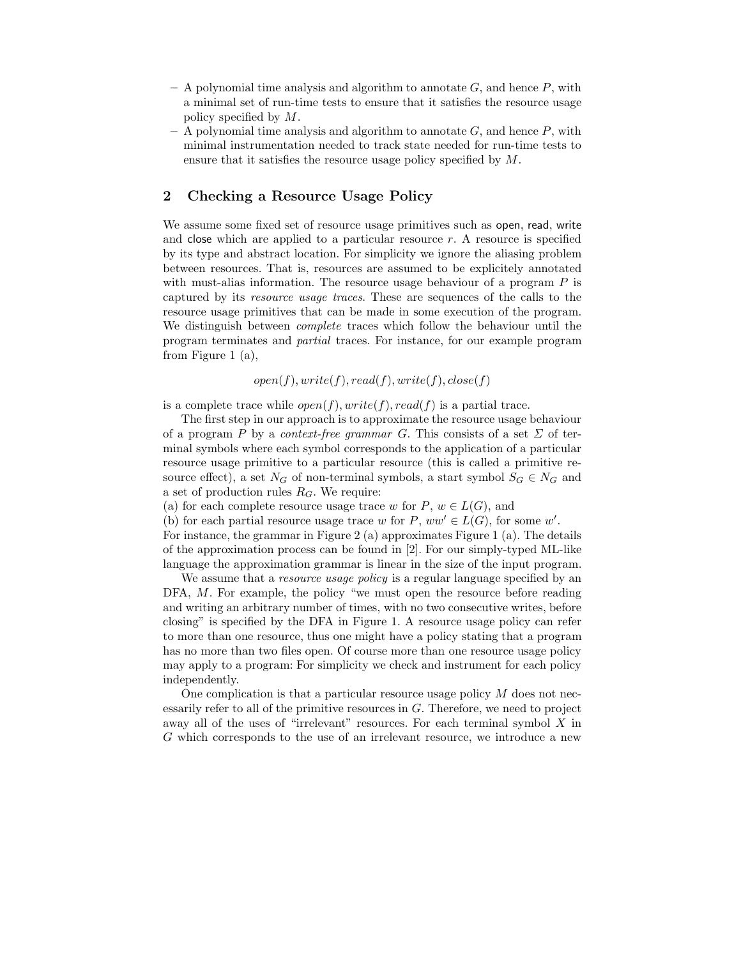- $-$  A polynomial time analysis and algorithm to annotate G, and hence P, with a minimal set of run-time tests to ensure that it satisfies the resource usage policy specified by M.
- A polynomial time analysis and algorithm to annotate  $G$ , and hence  $P$ , with minimal instrumentation needed to track state needed for run-time tests to ensure that it satisfies the resource usage policy specified by M.

# 2 Checking a Resource Usage Policy

We assume some fixed set of resource usage primitives such as open, read, write and close which are applied to a particular resource  $r$ . A resource is specified by its type and abstract location. For simplicity we ignore the aliasing problem between resources. That is, resources are assumed to be explicitely annotated with must-alias information. The resource usage behaviour of a program  $P$  is captured by its resource usage traces. These are sequences of the calls to the resource usage primitives that can be made in some execution of the program. We distinguish between complete traces which follow the behaviour until the program terminates and partial traces. For instance, for our example program from Figure 1 (a),

 $open(f), write(f), read(f), write(f), close(f)$ 

is a complete trace while  $open(f)$ ,  $write(f)$ ,  $read(f)$  is a partial trace.

The first step in our approach is to approximate the resource usage behaviour of a program P by a *context-free grammar G*. This consists of a set  $\Sigma$  of terminal symbols where each symbol corresponds to the application of a particular resource usage primitive to a particular resource (this is called a primitive resource effect), a set  $N_G$  of non-terminal symbols, a start symbol  $S_G \in N_G$  and a set of production rules  $R_G$ . We require:

(a) for each complete resource usage trace w for  $P, w \in L(G)$ , and

(b) for each partial resource usage trace w for P,  $ww' \in L(G)$ , for some w'.

For instance, the grammar in Figure 2 (a) approximates Figure 1 (a). The details of the approximation process can be found in [2]. For our simply-typed ML-like language the approximation grammar is linear in the size of the input program.

We assume that a *resource usage policy* is a regular language specified by an DFA, M. For example, the policy "we must open the resource before reading and writing an arbitrary number of times, with no two consecutive writes, before closing" is specified by the DFA in Figure 1. A resource usage policy can refer to more than one resource, thus one might have a policy stating that a program has no more than two files open. Of course more than one resource usage policy may apply to a program: For simplicity we check and instrument for each policy independently.

One complication is that a particular resource usage policy  $M$  does not necessarily refer to all of the primitive resources in G. Therefore, we need to project away all of the uses of "irrelevant" resources. For each terminal symbol  $X$  in G which corresponds to the use of an irrelevant resource, we introduce a new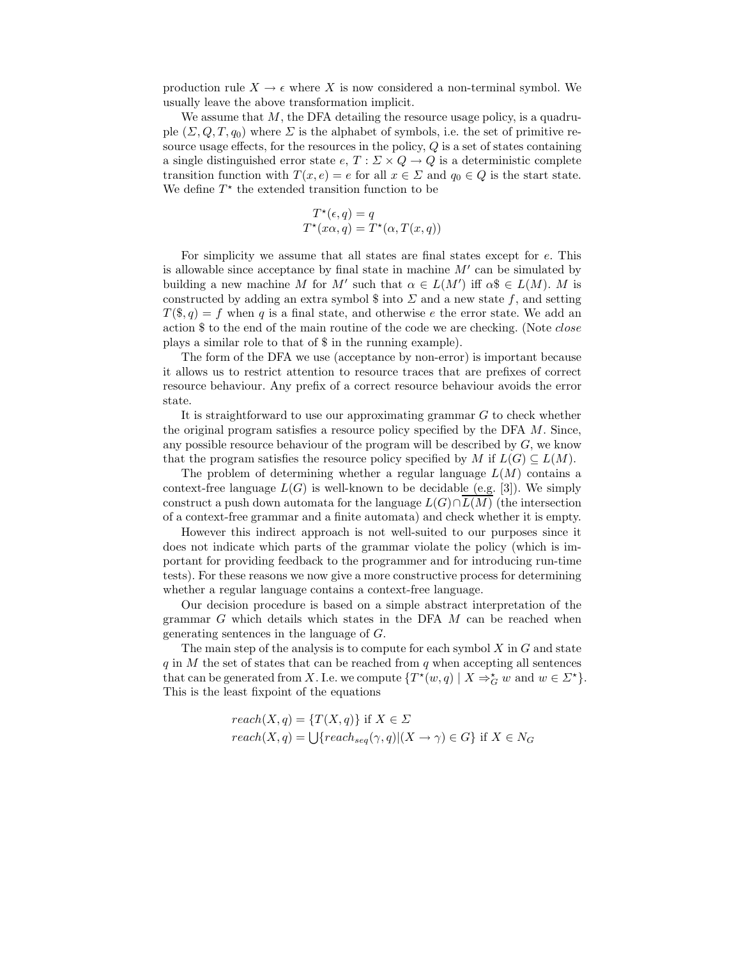production rule  $X \to \epsilon$  where X is now considered a non-terminal symbol. We usually leave the above transformation implicit.

We assume that  $M$ , the DFA detailing the resource usage policy, is a quadruple  $(\Sigma, Q, T, q_0)$  where  $\Sigma$  is the alphabet of symbols, i.e. the set of primitive resource usage effects, for the resources in the policy,  $Q$  is a set of states containing a single distinguished error state  $e, T : \Sigma \times Q \rightarrow Q$  is a deterministic complete transition function with  $T(x, e) = e$  for all  $x \in \Sigma$  and  $q_0 \in Q$  is the start state. We define  $T^*$  the extended transition function to be

$$
T^*(\epsilon, q) = q
$$
  

$$
T^*(x\alpha, q) = T^*(\alpha, T(x, q))
$$

For simplicity we assume that all states are final states except for e. This is allowable since acceptance by final state in machine  $M'$  can be simulated by building a new machine M for M' such that  $\alpha \in L(M')$  iff  $\alpha \$ i  $\in L(M)$ . M is constructed by adding an extra symbol  $\$$  into  $\Sigma$  and a new state f, and setting  $T(\$, q) = f$  when q is a final state, and otherwise e the error state. We add an action \$ to the end of the main routine of the code we are checking. (Note close plays a similar role to that of \$ in the running example).

The form of the DFA we use (acceptance by non-error) is important because it allows us to restrict attention to resource traces that are prefixes of correct resource behaviour. Any prefix of a correct resource behaviour avoids the error state.

It is straightforward to use our approximating grammar G to check whether the original program satisfies a resource policy specified by the DFA M. Since, any possible resource behaviour of the program will be described by  $G$ , we know that the program satisfies the resource policy specified by M if  $L(G) \subseteq L(M)$ .

The problem of determining whether a regular language  $L(M)$  contains a context-free language  $L(G)$  is well-known to be decidable (e.g. [3]). We simply construct a push down automata for the language  $L(G) \cap L(M)$  (the intersection of a context-free grammar and a finite automata) and check whether it is empty.

However this indirect approach is not well-suited to our purposes since it does not indicate which parts of the grammar violate the policy (which is important for providing feedback to the programmer and for introducing run-time tests). For these reasons we now give a more constructive process for determining whether a regular language contains a context-free language.

Our decision procedure is based on a simple abstract interpretation of the grammar  $G$  which details which states in the DFA  $M$  can be reached when generating sentences in the language of G.

The main step of the analysis is to compute for each symbol  $X$  in  $G$  and state  $q$  in M the set of states that can be reached from  $q$  when accepting all sentences that can be generated from X. I.e. we compute  $\{T^*(w,q) \mid X \Rightarrow^*_{G} w \text{ and } w \in \Sigma^*\}.$ This is the least fixpoint of the equations

$$
reach(X, q) = \{T(X, q)\}
$$
 if  $X \in \Sigma$   
 $reach(X, q) = \bigcup \{reach_{seq}(\gamma, q) | (X \to \gamma) \in G\}$  if  $X \in N_G$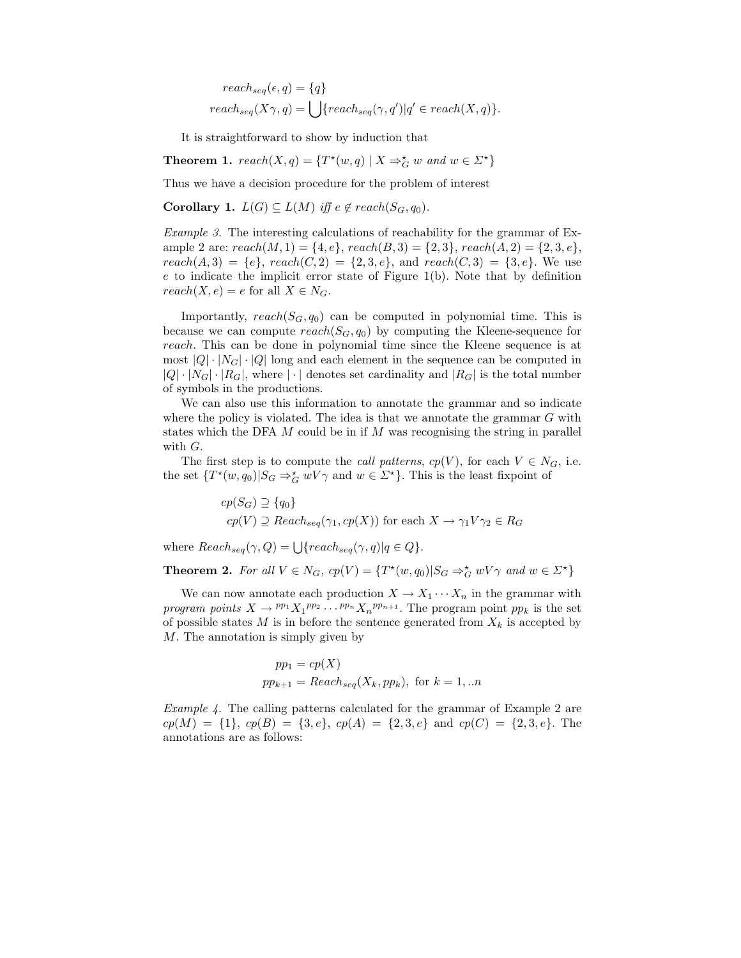$reach_{seq}(\epsilon, q) = \{q\}$  $reach_{seq}(X\gamma, q) = \bigcup \{reach_{seq}(\gamma, q') | q' \in reach(X, q)\}.$ 

It is straightforward to show by induction that

**Theorem 1.**  $reach(X, q) = \{T^*(w, q) \mid X \Rightarrow_G^* w \text{ and } w \in \Sigma^*\}$ 

Thus we have a decision procedure for the problem of interest

Corollary 1.  $L(G) \subseteq L(M)$  iff  $e \notin reach(S_G, q_0)$ .

Example 3. The interesting calculations of reachability for the grammar of Example 2 are:  $reach(M, 1) = \{4, e\}$ ,  $reach(B, 3) = \{2, 3\}$ ,  $reach(A, 2) = \{2, 3, e\}$ ,  $reach(A, 3) = \{e\}, reach(C, 2) = \{2, 3, e\}, and reach(C, 3) = \{3, e\}.$  We use  $e$  to indicate the implicit error state of Figure 1(b). Note that by definition  $reach(X, e) = e$  for all  $X \in N_G$ .

Importantly,  $reach(S_G, q_0)$  can be computed in polynomial time. This is because we can compute  $reach(S_G, q_0)$  by computing the Kleene-sequence for reach. This can be done in polynomial time since the Kleene sequence is at most  $|Q| \cdot |N_G| \cdot |Q|$  long and each element in the sequence can be computed in  $|Q| \cdot |N_G| \cdot |R_G|$ , where  $|\cdot|$  denotes set cardinality and  $|R_G|$  is the total number of symbols in the productions.

We can also use this information to annotate the grammar and so indicate where the policy is violated. The idea is that we annotate the grammar  $G$  with states which the DFA  $M$  could be in if  $M$  was recognising the string in parallel with  $G$ .

The first step is to compute the *call patterns*,  $cp(V)$ , for each  $V \in N_G$ , i.e. the set  $\{T^*(w, q_0)|S_G \Rightarrow_G^* wV\gamma \text{ and } w \in \Sigma^*\}.$  This is the least fixpoint of

$$
cp(S_G) \supseteq \{q_0\}
$$
  

$$
cp(V) \supseteq Reach_{seq}(\gamma_1, cp(X))
$$
 for each  $X \to \gamma_1 V \gamma_2 \in R_G$ 

where  $Reach_{seq}(\gamma, Q) = \bigcup \{reach_{seq}(\gamma, q) | q \in Q\}.$ 

**Theorem 2.** For all  $V \in N_G$ ,  $cp(V) = \{T^*(w, q_0) | S_G \Rightarrow_G^* wV\gamma \text{ and } w \in \Sigma^*\}$ 

We can now annotate each production  $X \to X_1 \cdots X_n$  in the grammar with program points  $X \to p^{p_1} X_1^{p p_2} \dots p^{p_n} X_n^{p p_{n+1}}$ . The program point  $p p_k$  is the set of possible states M is in before the sentence generated from  $X_k$  is accepted by M. The annotation is simply given by

$$
pp_1 = cp(X)
$$
  

$$
pp_{k+1} = Reach_{seq}(X_k, pp_k), \text{ for } k = 1, ...n
$$

*Example 4.* The calling patterns calculated for the grammar of Example 2 are  $cp(M) = \{1\}$ ,  $cp(B) = \{3, e\}$ ,  $cp(A) = \{2, 3, e\}$  and  $cp(C) = \{2, 3, e\}$ . The annotations are as follows: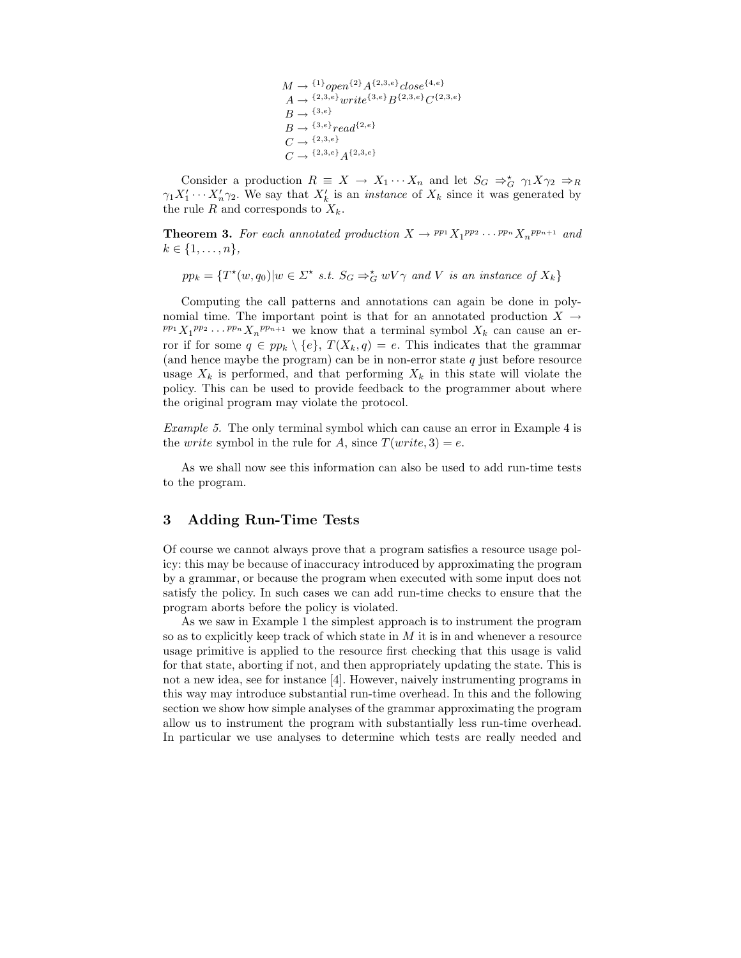$M \rightarrow \{1\} open \{2\} A \{2,3,e\} close \{4,e\}$  $A \rightarrow \{2,3,e\} \, write \{3,e\} B^{\{2,3,e\}} C^{\{2,3,e\}}$  $B \rightarrow \{3,e\}$  $B \to {}^{\{3,e\}} real^{\{2,e\}}$  $C \rightarrow \{2,3,e\}$  $C \rightarrow \{2,3,e\} A^{\{2,3,e\}}$ 

Consider a production  $R \equiv X \to X_1 \cdots X_n$  and let  $S_G \Rightarrow^*_{G} \gamma_1 X \gamma_2 \Rightarrow_R$  $\gamma_1 X'_1 \cdots X'_n \gamma_2$ . We say that  $X'_k$  is an *instance* of  $X_k$  since it was generated by the rule R and corresponds to  $X_k$ .

**Theorem 3.** For each annotated production  $X \to pp_1 X_1^{pp_2} \dots pp_n X_n^{pp_{n+1}}$  and  $k \in \{1, \ldots, n\},\$ 

$$
pp_k = \{T^{\star}(w, q_0) | w \in \Sigma^{\star} \text{ s.t. } S_G \Rightarrow_G^{\star} wV\gamma \text{ and } V \text{ is an instance of } X_k\}
$$

Computing the call patterns and annotations can again be done in polynomial time. The important point is that for an annotated production  $X \rightarrow$  $p_1 X_1^{p_1} \cdots p_{n} X_n^{p_{n+1}}$  we know that a terminal symbol  $X_k$  can cause an error if for some  $q \in pp_k \setminus \{e\}$ ,  $T(X_k, q) = e$ . This indicates that the grammar (and hence maybe the program) can be in non-error state  $q$  just before resource usage  $X_k$  is performed, and that performing  $X_k$  in this state will violate the policy. This can be used to provide feedback to the programmer about where the original program may violate the protocol.

Example 5. The only terminal symbol which can cause an error in Example 4 is the *write* symbol in the rule for A, since  $T(write, 3) = e$ .

As we shall now see this information can also be used to add run-time tests to the program.

#### 3 Adding Run-Time Tests

Of course we cannot always prove that a program satisfies a resource usage policy: this may be because of inaccuracy introduced by approximating the program by a grammar, or because the program when executed with some input does not satisfy the policy. In such cases we can add run-time checks to ensure that the program aborts before the policy is violated.

As we saw in Example 1 the simplest approach is to instrument the program so as to explicitly keep track of which state in  $M$  it is in and whenever a resource usage primitive is applied to the resource first checking that this usage is valid for that state, aborting if not, and then appropriately updating the state. This is not a new idea, see for instance [4]. However, naively instrumenting programs in this way may introduce substantial run-time overhead. In this and the following section we show how simple analyses of the grammar approximating the program allow us to instrument the program with substantially less run-time overhead. In particular we use analyses to determine which tests are really needed and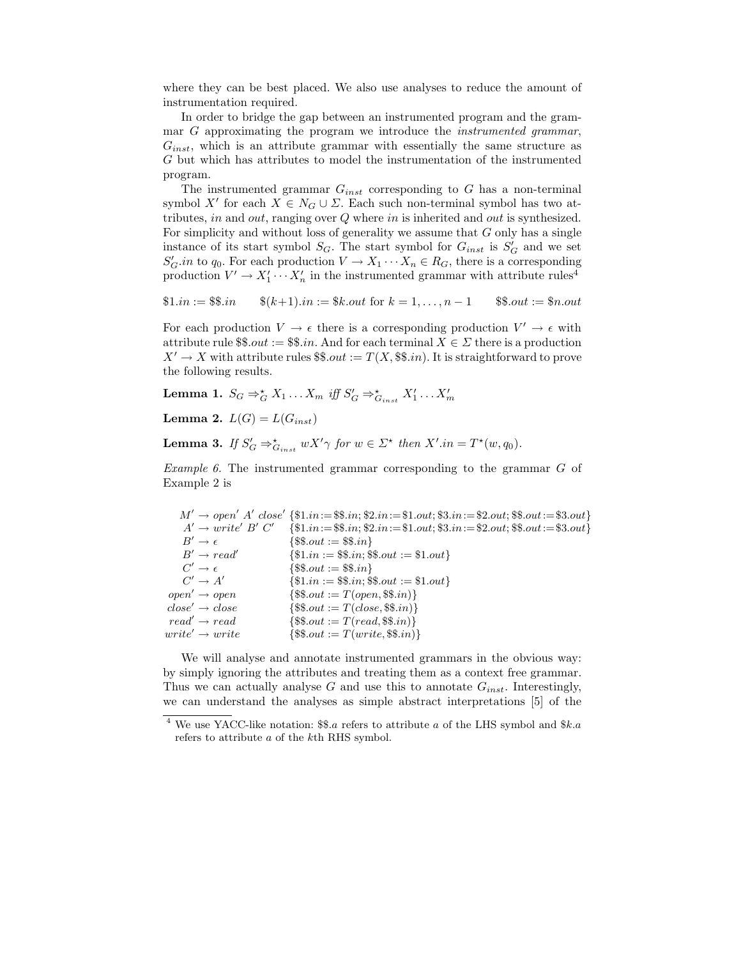where they can be best placed. We also use analyses to reduce the amount of instrumentation required.

In order to bridge the gap between an instrumented program and the grammar G approximating the program we introduce the *instrumented grammar*,  $G_{inst}$ , which is an attribute grammar with essentially the same structure as G but which has attributes to model the instrumentation of the instrumented program.

The instrumented grammar  $G_{inst}$  corresponding to  $G$  has a non-terminal symbol X' for each  $X \in N_G \cup \Sigma$ . Each such non-terminal symbol has two attributes, in and out, ranging over  $Q$  where in is inherited and out is synthesized. For simplicity and without loss of generality we assume that  $G$  only has a single instance of its start symbol  $S_G$ . The start symbol for  $G_{inst}$  is  $S'_G$  and we set  $S'_G$  in to  $q_0$ . For each production  $V \to X_1 \cdots X_n \in R_G$ , there is a corresponding production  $V' \to X'_1 \cdots X'_n$  in the instrumented grammar with attribute rules<sup>4</sup>

 $$1.in := $\$.in \$   $\$(k+1).in := \$k.out$  for  $k = 1, ..., n-1$   $\$s.out := \$n.out$ 

For each production  $V \to \epsilon$  there is a corresponding production  $V' \to \epsilon$  with attribute rule  $\$. out := \$\$. in.$  And for each terminal  $X \in \Sigma$  there is a production  $X' \to X$  with attribute rules  $\$\$.out := T(X, \$\$.in)$ . It is straightforward to prove the following results.

Lemma 1.  $S_G \Rightarrow_G^{\star} X_1 \dots X_m$  iff  $S_G' \Rightarrow_{G_{inst}}^{\star} X_1' \dots X_m'$ 

Lemma 2.  $L(G) = L(G_{inst})$ 

**Lemma 3.** If  $S'_G \Rightarrow_{G_{inst}}^{\star} wX' \gamma$  for  $w \in \Sigma^*$  then  $X'.in = T^*(w, q_0)$ .

Example 6. The instrumented grammar corresponding to the grammar G of Example 2 is

|                               | $M' \rightarrow open' A' close' \{ $1.in := $ $.in; $2.in := $1.out; $3.in := $2.out; $ $.out: = $3.out \}$ |
|-------------------------------|-------------------------------------------------------------------------------------------------------------|
| $A' \rightarrow write'$ B' C' | $\{\$1.in := \$\$.in; \$2.in := \$1.out; \$3.in := \$2.out; \$\$.out := \$3.out\}$                          |
| $B' \to \epsilon$             | $\{\$$ . <i>out</i> := $\$$ . <i>in</i> }                                                                   |
| $B' \rightarrow read'$        | $\{\$1.in := \$\$.in; \$\$.out := \$1.out\}$                                                                |
| $C' \rightarrow \epsilon$     | $\{\$\$.out := \$\$.in\}$                                                                                   |
| $C' \rightarrow A'$           | $\{\$1.in := \$\$.in; \$\$.out := \$1.out\}$                                                                |
| $open' \rightarrow open$      | $\{\$\$.out := T(open, \$\$.in)\}$                                                                          |
| $close' \rightarrow close$    | $\{\$$ .out := $T(close, \$\$.in)\}$                                                                        |
| $read' \rightarrow read$      | $\{\$\$.out := T(read, \$\$.in)\}$                                                                          |
| $write' \rightarrow write$    | $\{\$\$. out := T(write, \$\$. in)\}$                                                                       |
|                               |                                                                                                             |

We will analyse and annotate instrumented grammars in the obvious way: by simply ignoring the attributes and treating them as a context free grammar. Thus we can actually analyse G and use this to annotate  $G_{inst}$ . Interestingly, we can understand the analyses as simple abstract interpretations [5] of the

 $^4$  We use YACC-like notation: .  $\$ . refers to attribute  $a$  of the LHS symbol and  $\$ k.a. refers to attribute a of the kth RHS symbol.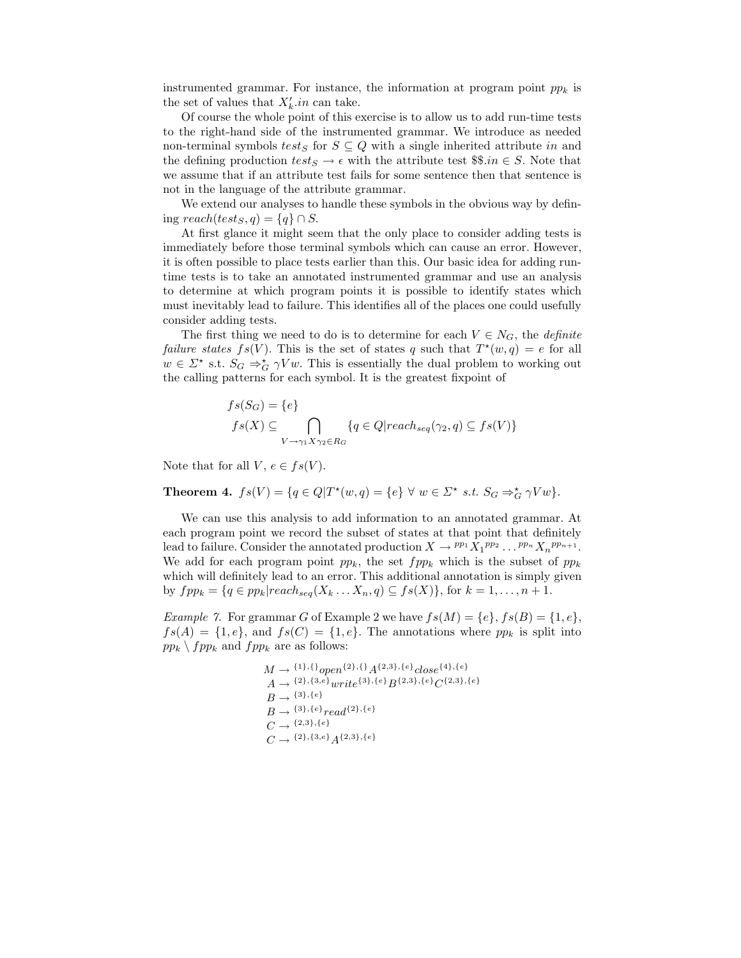instrumented grammar. For instance, the information at program point  $pp_k$  is the set of values that  $X'_{k}$  in can take.

Of course the whole point of this exercise is to allow us to add run-time tests to the right-hand side of the instrumented grammar. We introduce as needed non-terminal symbols tests for  $S \subseteq Q$  with a single inherited attribute in and the defining production  $test_S \rightarrow \epsilon$  with the attribute test \$\$.in  $\in S$ . Note that we assume that if an attribute test fails for some sentence then that sentence is not in the language of the attribute grammar.

We extend our analyses to handle these symbols in the obvious way by defining  $reach(test_S, q) = \{q\} \cap S$ .

At first glance it might seem that the only place to consider adding tests is immediately before those terminal symbols which can cause an error. However, it is often possible to place tests earlier than this. Our basic idea for adding runtime tests is to take an annotated instrumented grammar and use an analysis to determine at which program points it is possible to identify states which must inevitably lead to failure. This identifies all of the places one could usefully consider adding tests.

The first thing we need to do is to determine for each  $V \in N_G$ , the *definite* failure states  $fs(V)$ . This is the set of states q such that  $T^*(w, q) = e$  for all  $w \in \Sigma^*$  s.t.  $S_G \Rightarrow_G^* \gamma Vw$ . This is essentially the dual problem to working out the calling patterns for each symbol. It is the greatest fixpoint of

$$
fs(S_G) = \{e\}
$$
  

$$
fs(X) \subseteq \bigcap_{V \to \gamma_1 X \gamma_2 \in R_G} \{q \in Q | reach_{seq}(\gamma_2, q) \subseteq fs(V)\}\
$$

Note that for all  $V, e \in fs(V)$ .

**Theorem 4.** 
$$
fs(V) = \{q \in Q | T^*(w, q) = \{e\} \ \forall \ w \in \Sigma^* \ s.t. \ S_G \Rightarrow_G^* \gamma V w \}.
$$

We can use this analysis to add information to an annotated grammar. At each program point we record the subset of states at that point that definitely lead to failure. Consider the annotated production  $X \to p p_1 X_1 p p_2 \dots p p_n X_n p p_{n+1}$ . We add for each program point  $pp_k$ , the set  $fpp_k$  which is the subset of  $pp_k$ which will definitely lead to an error. This additional annotation is simply given by  $fpp_k = \{q \in pp_k | reach_{seq}(X_k \dots X_n, q) \subseteq fs(X) \},$  for  $k = 1, \dots, n + 1$ .

Example 7. For grammar G of Example 2 we have  $fs(M) = \{e\}, fs(B) = \{1, e\},\$  $fs(A) = \{1, e\}$ , and  $fs(C) = \{1, e\}$ . The annotations where  $pp_k$  is split into  $pp_k \setminus fpp_k$  and  $fpp_k$  are as follows:

> $M \rightarrow \{1\},\{\} open{\{2\},\{\}\} A^{\{2,3\},\{e\}} close{\{4\},\{e\}}$  $A \rightarrow \{2\}, \{3, e\}$  write  $\{3\}, \{e\}$   $B$   $\{2, 3\}, \{e\}$   $C$   $\{2, 3\}, \{e\}$  $B \rightarrow \{3\}, \{e\}$  $B \to \{3\}, \{e\}_{read}\{2\}, \{e\}$  $C \rightarrow \{2,3\}, \{e\}$  $C \rightarrow \{2\},\{3,e\} A^{\{2,3\},\{e\}}$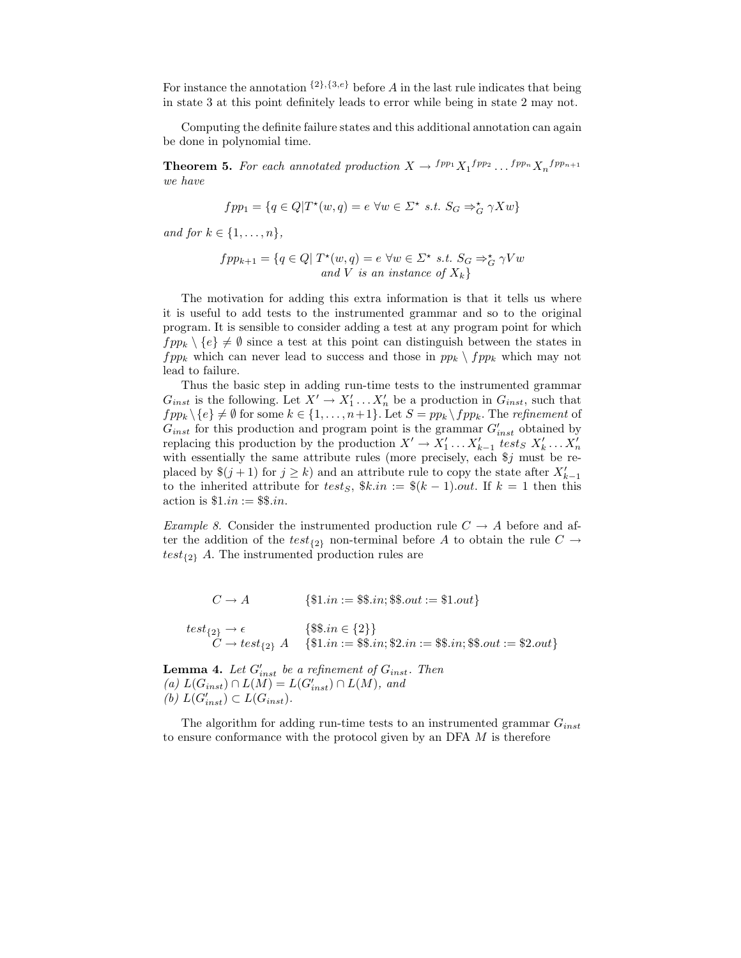For instance the annotation  $\{2\}, \{3,e\}$  before A in the last rule indicates that being in state 3 at this point definitely leads to error while being in state 2 may not.

Computing the definite failure states and this additional annotation can again be done in polynomial time.

**Theorem 5.** For each annotated production  $X \to \text{fpp}_1 X_1 \text{fpp}_2 \dots \text{fpp}_n X_n \text{fpp}_{n+1}$ we have

$$
fpp_1 = \{ q \in Q | T^*(w, q) = e \ \forall w \in \Sigma^* \ s.t. \ S_G \Rightarrow_G^* \gamma Xw \}
$$

and for  $k \in \{1, \ldots, n\},\$ 

$$
fpp_{k+1} = \{q \in Q | T^*(w, q) = e \ \forall w \in \Sigma^* \ s.t. \ S_G \Rightarrow_G^* \gamma Vw
$$
  
and V is an instance of  $X_k$ 

The motivation for adding this extra information is that it tells us where it is useful to add tests to the instrumented grammar and so to the original program. It is sensible to consider adding a test at any program point for which  $fpp_k \setminus \{e\} \neq \emptyset$  since a test at this point can distinguish between the states in  $f p p_k$  which can never lead to success and those in  $p p_k \setminus f p p_k$  which may not lead to failure.

Thus the basic step in adding run-time tests to the instrumented grammar  $G_{inst}$  is the following. Let  $X' \to X'_1 \dots X'_n$  be a production in  $G_{inst}$ , such that  $fpp_k \setminus \{e\} \neq \emptyset$  for some  $k \in \{1, \ldots, n+1\}$ . Let  $S = pp_k \setminus fpp_k$ . The refinement of  $G_{inst}$  for this production and program point is the grammar  $G'_{inst}$  obtained by replacing this production by the production  $X' \to X'_1 \dots X'_{k-1}$  tests  $X'_k \dots X'_n$ with essentially the same attribute rules (more precisely, each  $\hat{\mathbf{s}}j$  must be replaced by  $$(j + 1)$  for  $j \geq k)$  and an attribute rule to copy the state after  $X'_{k-1}$ to the inherited attribute for tests,  $k.in := \S(k-1).out$ . If  $k = 1$  then this action is  $\$1.in := \$\$.in$ .

Example 8. Consider the instrumented production rule  $C \rightarrow A$  before and after the addition of the  $test_{\{2\}}$  non-terminal before A to obtain the rule  $C \rightarrow$  $test_{\{2\}}$  A. The instrumented production rules are

$$
C \to A \qquad \{\$1.in := \$\$.in; \$\$.out := \$1.out\}
$$
  

$$
test_{\{2\}} \to \epsilon \qquad \{\$s.in \in \{2\}\}
$$
  

$$
C \to test_{\{2\}} A \qquad \{\$1.in := \$\$.in; \$2.in := \$\$.in; \$\$.out := \$2.out\}
$$

**Lemma 4.** Let  $G'_{inst}$  be a refinement of  $G_{inst}$ . Then (a)  $L(G_{inst}) \cap L(M) = L(G'_{inst}) \cap L(M)$ , and (b)  $L(G'_{inst}) \subset L(G_{inst}).$ 

The algorithm for adding run-time tests to an instrumented grammar  $G_{inst}$ to ensure conformance with the protocol given by an DFA M is therefore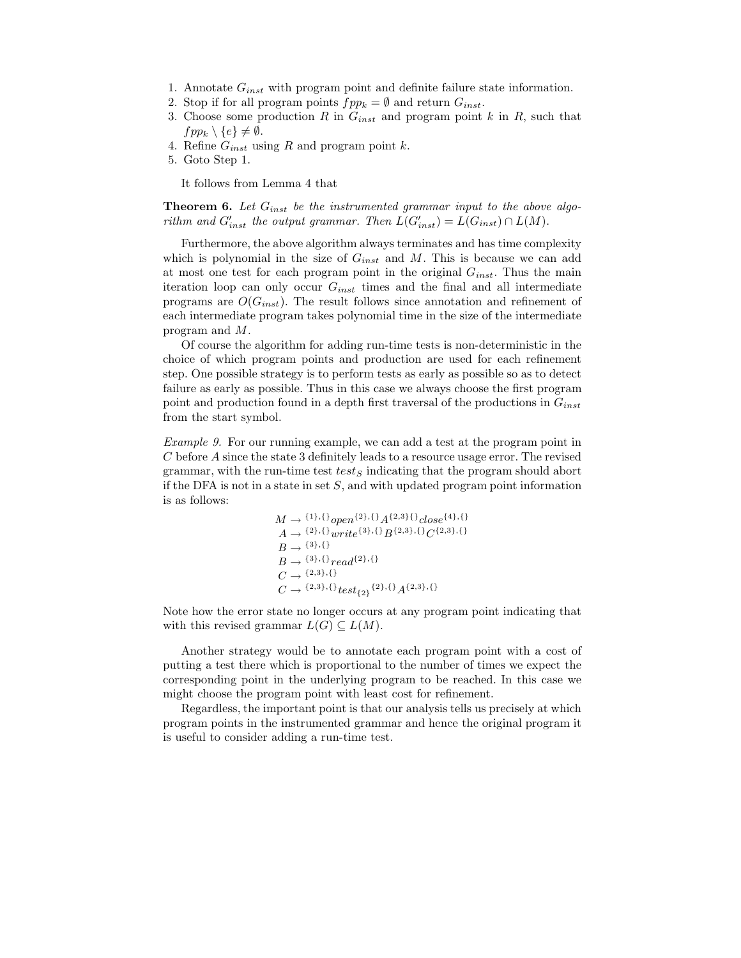- 1. Annotate  $G_{inst}$  with program point and definite failure state information.
- 2. Stop if for all program points  $fpp_k = \emptyset$  and return  $G_{inst}$ .
- 3. Choose some production R in  $G_{inst}$  and program point k in R, such that  $fpp_k \setminus \{e\} \neq \emptyset.$
- 4. Refine  $G_{inst}$  using R and program point k.
- 5. Goto Step 1.

It follows from Lemma 4 that

**Theorem 6.** Let  $G_{inst}$  be the instrumented grammar input to the above algorithm and  $G'_{inst}$  the output grammar. Then  $L(G'_{inst}) = L(G_{inst}) \cap L(M)$ .

Furthermore, the above algorithm always terminates and has time complexity which is polynomial in the size of  $G_{inst}$  and M. This is because we can add at most one test for each program point in the original  $G_{inst}$ . Thus the main iteration loop can only occur  $G_{inst}$  times and the final and all intermediate programs are  $O(G_{inst})$ . The result follows since annotation and refinement of each intermediate program takes polynomial time in the size of the intermediate program and M.

Of course the algorithm for adding run-time tests is non-deterministic in the choice of which program points and production are used for each refinement step. One possible strategy is to perform tests as early as possible so as to detect failure as early as possible. Thus in this case we always choose the first program point and production found in a depth first traversal of the productions in  $G_{inst}$ from the start symbol.

Example 9. For our running example, we can add a test at the program point in C before A since the state 3 definitely leads to a resource usage error. The revised grammar, with the run-time test  $test_S$  indicating that the program should abort if the DFA is not in a state in set  $S$ , and with updated program point information is as follows:

$$
M \rightarrow {}^{{1}}\cdots {}^{{1}}\cdots {}^{{0}}\rho_{\ell}e_{1}^{2}, {}^{1}\cdots {}^{1}\cdots {}^{1}\cdots {}^{1}\cdots {}^{1}\cdots {}^{1}\cdots {}^{1}\cdots {}^{1}\cdots {}^{1}\cdots {}^{1}\cdots {}^{1}\cdots {}^{1}\cdots {}^{1}\cdots {}^{1}\cdots {}^{1}\cdots {}^{1}\cdots {}^{1}\cdots {}^{1}\cdots {}^{1}\cdots {}^{1}\cdots {}^{1}\cdots {}^{1}\cdots {}^{1}\cdots {}^{1}\cdots {}^{1}\cdots {}^{1}\cdots {}^{1}\cdots {}^{1}\cdots {}^{1}\cdots {}^{1}\cdots {}^{1}\cdots {}^{1}\cdots {}^{1}\cdots {}^{1}\cdots {}^{1}\cdots {}^{1}\cdots {}^{1}\cdots {}^{1}\cdots {}^{1}\cdots {}^{1}\cdots {}^{1}\cdots {}^{1}\cdots {}^{1}\cdots {}^{1}\cdots {}^{1}\cdots {}^{1}\cdots {}^{1}\cdots {}^{1}\cdots {}^{1}\cdots {}^{1}\cdots {}^{1}\cdots {}^{1}\cdots {}^{1}\cdots {}^{1}\cdots {}^{1}\cdots {}^{1}\cdots {}^{1}\cdots {}^{1}\cdots {}^{1}\cdots {}^{1}\cdots {}^{1}\cdots {}^{1}\cdots {}^{1}\cdots {}^{1}\cdots {}^{1}\cdots {}^{1}\cdots {}^{1}\cdots {}^{1}\cdots {}^{1}\cdots {}^{1}\cdots {}^{1}\cdots {}^{1}\cdots {}^{1}\cdots {}^{1}\cdots {}^{1}\cdots {}^{1}\cdots {}^{1}\cdots {}^{1}\cdots {}^{1}\cdots {}^{1}\cdots {}^{1}\cdots {}^{1}\cdots {}^{1}\cdots {}^{1}\cdots {}^{1}\cdots {}^{1}\cdots {}^{1}\cdots {}^{1}\cdots {}^{1}\cdots {}^{1}\cdots {}^{1}\cdots {}^{1}\cdots {}^{1}\cdots {}^{1}\cdots {}^{1}\cdots {}^{1}\cdots {}^{1}\cdots {}^{1}\cdots {}^{1}\cdots {}^{1}\cdots {}^{1}\cdots {}^{1}\cdots {}^{1}\cdots {}^{1}\cdots {}^{1}\cdots {}^{1}\cdots {}^{1}\cdots {}^{1}\cdots {}^{1}\cdots {}^{1}\cdots {}^{1}\cdots {}^{1}\cdots {}^{1}\cdots {}^{1}\cdots {}^{1}\cdots {}^{1}\cdots {}^{1}\cdots {}^{1}\cdots {}^{1}\cdots {}^{1}\cdots {}^{
$$

Note how the error state no longer occurs at any program point indicating that with this revised grammar  $L(G) \subseteq L(M)$ .

Another strategy would be to annotate each program point with a cost of putting a test there which is proportional to the number of times we expect the corresponding point in the underlying program to be reached. In this case we might choose the program point with least cost for refinement.

Regardless, the important point is that our analysis tells us precisely at which program points in the instrumented grammar and hence the original program it is useful to consider adding a run-time test.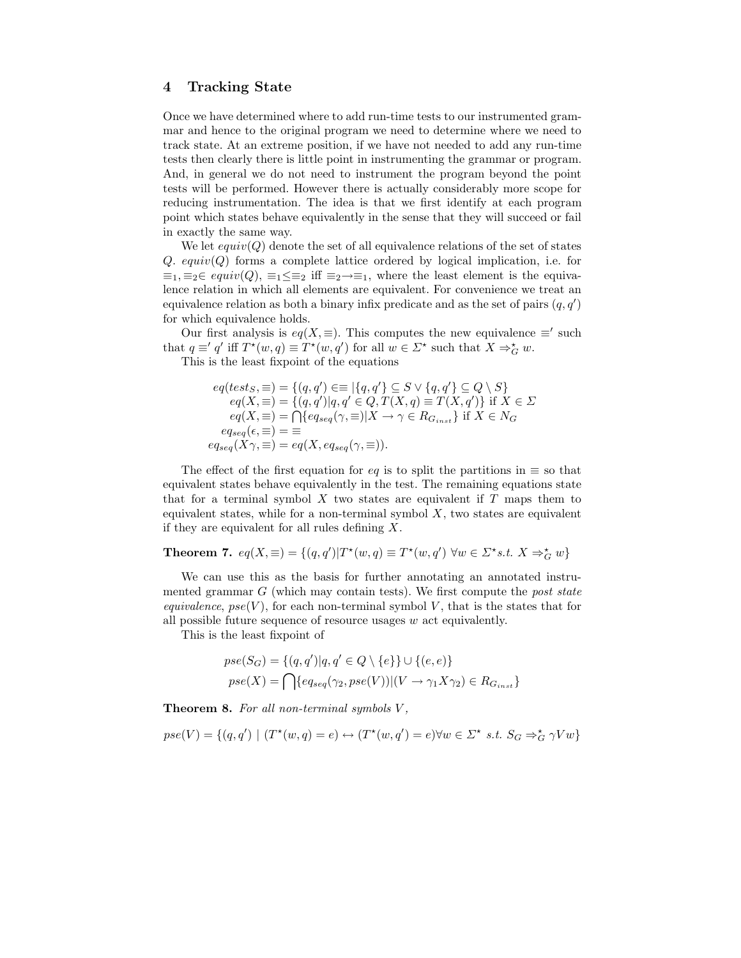#### 4 Tracking State

Once we have determined where to add run-time tests to our instrumented grammar and hence to the original program we need to determine where we need to track state. At an extreme position, if we have not needed to add any run-time tests then clearly there is little point in instrumenting the grammar or program. And, in general we do not need to instrument the program beyond the point tests will be performed. However there is actually considerably more scope for reducing instrumentation. The idea is that we first identify at each program point which states behave equivalently in the sense that they will succeed or fail in exactly the same way.

We let  $equiv(Q)$  denote the set of all equivalence relations of the set of states  $Q.$  equiv( $Q$ ) forms a complete lattice ordered by logical implication, i.e. for  $\equiv_1, \equiv_2 \in equiv(Q), \equiv_1 \leq \equiv_2 \text{ iff } \equiv_2 \to \equiv_1$ , where the least element is the equivalence relation in which all elements are equivalent. For convenience we treat an equivalence relation as both a binary infix predicate and as the set of pairs  $(q, q')$ for which equivalence holds.

Our first analysis is  $eq(X, \equiv)$ . This computes the new equivalence  $\equiv'$  such that  $q \equiv' q'$  iff  $T^*(w, q) \equiv T^*(w, q')$  for all  $w \in \Sigma^*$  such that  $X \Rightarrow_G^* w$ .

This is the least fixpoint of the equations

$$
eq(test_S, \equiv) = \{(q, q') \in \equiv |\{q, q'\} \subseteq S \lor \{q, q'\} \subseteq Q \setminus S\}
$$
  
\n
$$
eq(X, \equiv) = \{(q, q')|q, q' \in Q, T(X, q) \equiv T(X, q')\} \text{ if } X \in \Sigma
$$
  
\n
$$
eq(X, \equiv) = \bigcap \{eq_{seq}(\gamma, \equiv)|X \to \gamma \in R_{G_{inst}}\} \text{ if } X \in N_G
$$
  
\n
$$
eq_{seq}(\epsilon, \equiv) = \equiv
$$
  
\n
$$
eq_{seq}(X\gamma, \equiv) = eq(X, eq_{seq}(\gamma, \equiv)).
$$

The effect of the first equation for eq is to split the partitions in  $\equiv$  so that equivalent states behave equivalently in the test. The remaining equations state that for a terminal symbol  $X$  two states are equivalent if  $T$  maps them to equivalent states, while for a non-terminal symbol  $X$ , two states are equivalent if they are equivalent for all rules defining  $X$ .

**Theorem 7.** 
$$
eq(X, \equiv) = \{(q, q') | T^*(w, q) \equiv T^*(w, q') \forall w \in \Sigma^* s.t. X \Rightarrow_G^* w \}
$$

We can use this as the basis for further annotating an annotated instrumented grammar  $G$  (which may contain tests). We first compute the *post state* equivalence,  $pse(V)$ , for each non-terminal symbol V, that is the states that for all possible future sequence of resource usages  $w$  act equivalently.

This is the least fixpoint of

$$
pse(S_G) = \{(q, q')|q, q' \in Q \setminus \{e\}\} \cup \{(e, e)\}
$$
  
\n
$$
pse(X) = \bigcap \{eq_{seq}(\gamma_2, pse(V)) | (V \to \gamma_1 X \gamma_2) \in R_{G_{inst}}\}
$$

**Theorem 8.** For all non-terminal symbols  $V$ ,

$$
pse(V) = \{(q,q') \mid (T^{\star}(w,q) = e) \leftrightarrow (T^{\star}(w,q') = e) \forall w \in \Sigma^{\star} \text{ s.t. } S_G \Rightarrow_G^{\star} \gamma V w\}
$$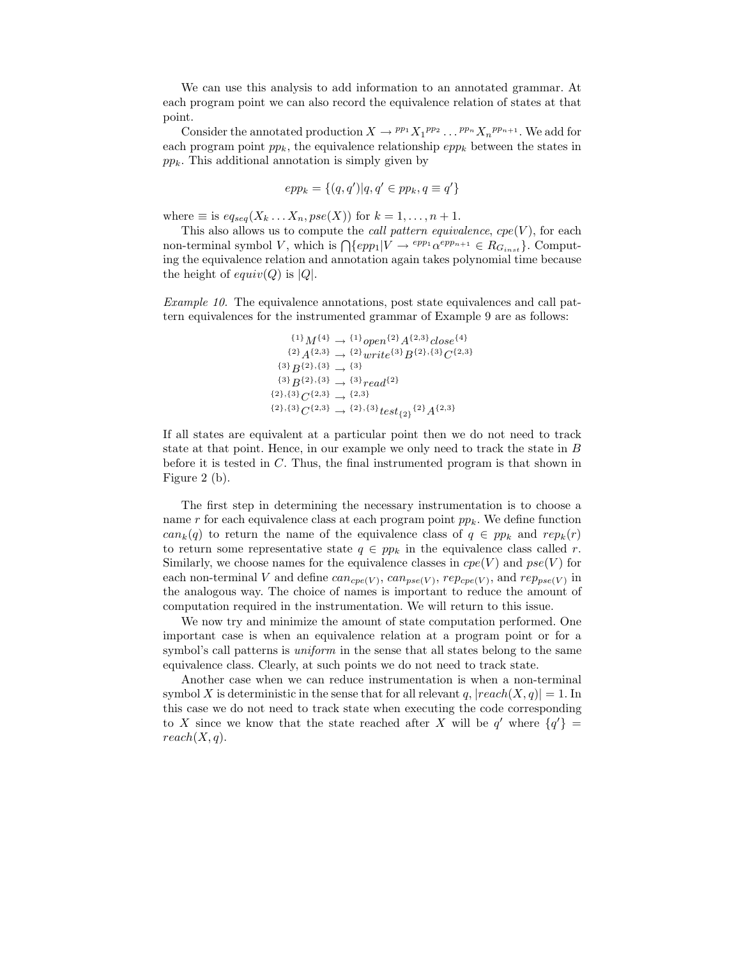We can use this analysis to add information to an annotated grammar. At each program point we can also record the equivalence relation of states at that point.

Consider the annotated production  $X \to pp_1 X_1^{pp_2} \dots pp_n X_n^{pp_{n+1}}$ . We add for each program point  $pp_k$ , the equivalence relationship  $epp_k$  between the states in  $pp_k$ . This additional annotation is simply given by

$$
epp_k = \{(q, q')|q, q' \in pp_k, q \equiv q'\}
$$

where  $\equiv$  is  $eq_{seq}(X_k \ldots X_n, pse(X))$  for  $k = 1, \ldots, n + 1$ .

This also allows us to compute the *call pattern equivalence*,  $cpe(V)$ , for each non-terminal symbol V, which is  $\bigcap \{epp_1|V \to epp_1 \alpha^{epp_{n+1}} \in R_{G_{inst}}\}\.$  Computing the equivalence relation and annotation again takes polynomial time because the height of equiv(Q) is  $|Q|$ .

Example 10. The equivalence annotations, post state equivalences and call pattern equivalences for the instrumented grammar of Example 9 are as follows:

$$
{^{11}M^{44} \rightarrow ^{11}open^{23}A^{2,31}close^{44} \over 2!A^{2,31} \rightarrow ^{22}write^{33}B^{21,33}C^{2,33} \over 2!B^{21,33} \rightarrow ^{33}P^{22,33} \rightarrow ^{33}real^{22} \over 2!A^{31}C^{2,33} \rightarrow ^{43}read^{23} \over 2!A^{31}C^{2,33} \rightarrow ^{42,33} \over 2!A^{31}C^{2,33} \rightarrow ^{21,33}test^{21}A^{2,33} \over 2!A^{32} \rightarrow ^{42,33}test^{22}A^{2,33} \over 2!A^{31}C^{2,33} \rightarrow ^{42,33}test^{21}A^{2,33} \over 2!A^{32} \overline{A^{23} \rightarrow ^{42}}.
$$

If all states are equivalent at a particular point then we do not need to track state at that point. Hence, in our example we only need to track the state in B before it is tested in C. Thus, the final instrumented program is that shown in Figure 2 (b).

The first step in determining the necessary instrumentation is to choose a name r for each equivalence class at each program point  $pp_k$ . We define function  $can_k(q)$  to return the name of the equivalence class of  $q \in pp_k$  and  $rep_k(r)$ to return some representative state  $q \in pp_k$  in the equivalence class called r. Similarly, we choose names for the equivalence classes in  $cpe(V)$  and  $pse(V)$  for each non-terminal V and define  $can_{cpe(V)}$ ,  $can_{pse(V)}$ ,  $rep_{cpe(V)}$ , and  $rep_{pse(V)}$  in the analogous way. The choice of names is important to reduce the amount of computation required in the instrumentation. We will return to this issue.

We now try and minimize the amount of state computation performed. One important case is when an equivalence relation at a program point or for a symbol's call patterns is *uniform* in the sense that all states belong to the same equivalence class. Clearly, at such points we do not need to track state.

Another case when we can reduce instrumentation is when a non-terminal symbol X is deterministic in the sense that for all relevant q,  $|reach(X, q)| = 1$ . In this case we do not need to track state when executing the code corresponding to X since we know that the state reached after X will be  $q'$  where  $\{q'\}=$  $reach(X, q)$ .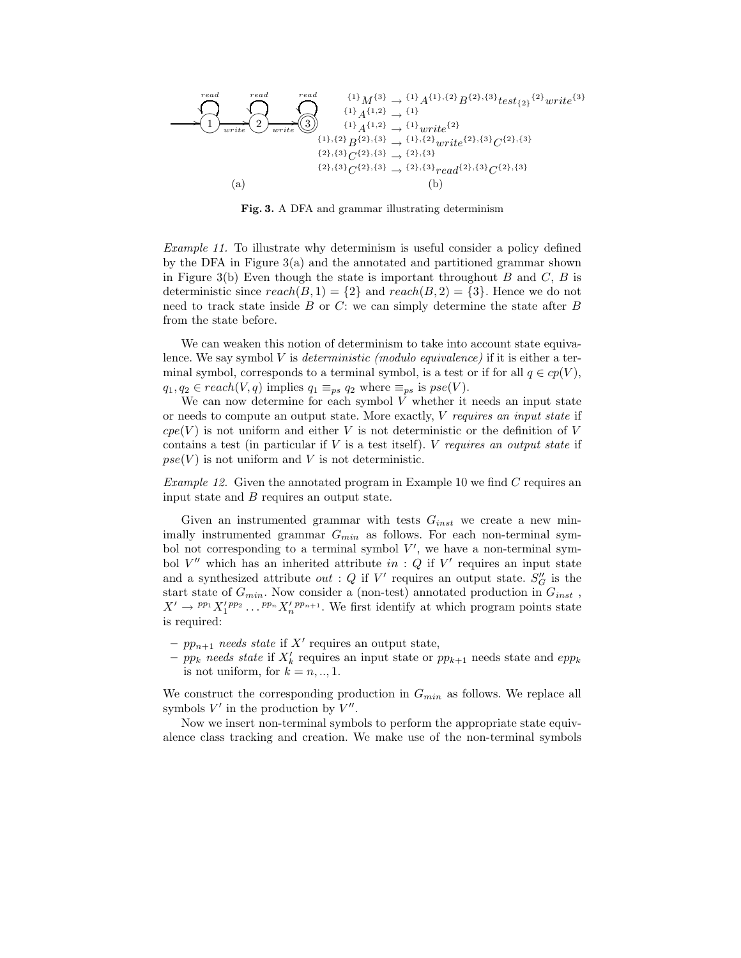

Fig. 3. A DFA and grammar illustrating determinism

Example 11. To illustrate why determinism is useful consider a policy defined by the DFA in Figure 3(a) and the annotated and partitioned grammar shown in Figure 3(b) Even though the state is important throughout  $B$  and  $C, B$  is deterministic since  $reach(B, 1) = \{2\}$  and  $reach(B, 2) = \{3\}$ . Hence we do not need to track state inside  $B$  or  $C$ : we can simply determine the state after  $B$ from the state before.

We can weaken this notion of determinism to take into account state equivalence. We say symbol  $V$  is *deterministic (modulo equivalence)* if it is either a terminal symbol, corresponds to a terminal symbol, is a test or if for all  $q \in cp(V)$ ,  $q_1, q_2 \in reach(V, q)$  implies  $q_1 \equiv_{ps} q_2$  where  $\equiv_{ps}$  is  $pse(V)$ .

We can now determine for each symbol  $V$  whether it needs an input state or needs to compute an output state. More exactly, V requires an input state if  $cpe(V)$  is not uniform and either V is not deterministic or the definition of V contains a test (in particular if  $V$  is a test itself).  $V$  requires an output state if  $pse(V)$  is not uniform and V is not deterministic.

Example 12. Given the annotated program in Example 10 we find C requires an input state and B requires an output state.

Given an instrumented grammar with tests  $G_{inst}$  we create a new minimally instrumented grammar  $G_{min}$  as follows. For each non-terminal symbol not corresponding to a terminal symbol  $V'$ , we have a non-terminal symbol  $V''$  which has an inherited attribute in : Q if  $V'$  requires an input state and a synthesized attribute  $out: Q$  if  $V'$  requires an output state.  $S''_G$  is the start state of  $G_{min}$ . Now consider a (non-test) annotated production in  $G_{inst}$ ,  $X' \to {}^{pp_1} X_1'{}^{pp_2} \dots {}^{pp_n} X_n'{}^{pp_{n+1}}$ . We first identify at which program points state is required:

- $-$  pp<sub>n+1</sub> needs state if X' requires an output state,
- $pp_k$  needs state if  $X'_k$  requires an input state or  $pp_{k+1}$  needs state and  $epp_k$ is not uniform, for  $k = n, \ldots, 1$ .

We construct the corresponding production in  $G_{min}$  as follows. We replace all symbols  $V'$  in the production by  $V''$ .

Now we insert non-terminal symbols to perform the appropriate state equivalence class tracking and creation. We make use of the non-terminal symbols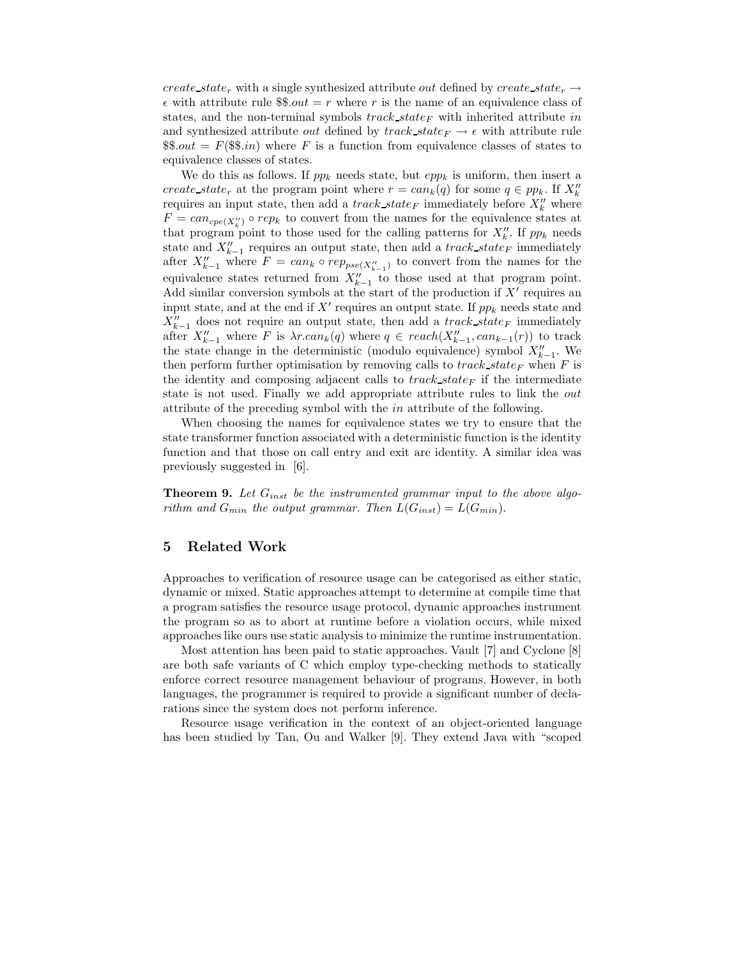create\_state<sub>r</sub> with a single synthesized attribute *out* defined by create\_state<sub>r</sub>  $\rightarrow$  $\epsilon$  with attribute rule \$\$.*out* = r where r is the name of an equivalence class of states, and the non-terminal symbols  $track\_state_F$  with inherited attribute in and synthesized attribute *out* defined by  $track\_state_F \rightarrow \epsilon$  with attribute rule  $\text{$\$}\$.out = F(\$\$.in)$  where F is a function from equivalence classes of states to equivalence classes of states.

We do this as follows. If  $pp_k$  needs state, but  $epp_k$  is uniform, then insert a create\_state<sub>r</sub> at the program point where  $r = can_k(q)$  for some  $q \in pp_k$ . If  $X''_k$ requires an input state, then add a  $track\_state_F$  immediately before  $X''_k$  where  $F = can_{cpe(X''_k)} \circ rep_k$  to convert from the names for the equivalence states at that program point to those used for the calling patterns for  $X''_k$ . If pp<sub>k</sub> needs state and  $X''_{k-1}$  requires an output state, then add a *track\_state<sub>F</sub>* immediately after  $X''_{k-1}$  where  $F = can_k \circ rep_{pse(X''_{k-1})}$  to convert from the names for the equivalence states returned from  $X''_{k-1}$  to those used at that program point. Add similar conversion symbols at the start of the production if  $X'$  requires an input state, and at the end if  $X'$  requires an output state. If  $pp_k$  needs state and  $X''_{k-1}$  does not require an output state, then add a track\_state<sub>F</sub> immediately after  $X''_{k-1}$  where F is  $\lambda r. can_k(q)$  where  $q \in reach(X''_{k-1}, can_{k-1}(r))$  to track the state change in the deterministic (modulo equivalence) symbol  $X''_{k-1}$ . We then perform further optimisation by removing calls to  $track\_state_F$  when F is the identity and composing adjacent calls to  $track\_state_F$  if the intermediate state is not used. Finally we add appropriate attribute rules to link the out attribute of the preceding symbol with the in attribute of the following.

When choosing the names for equivalence states we try to ensure that the state transformer function associated with a deterministic function is the identity function and that those on call entry and exit are identity. A similar idea was previously suggested in [6].

**Theorem 9.** Let  $G_{inst}$  be the instrumented grammar input to the above algorithm and  $G_{min}$  the output grammar. Then  $L(G_{inst}) = L(G_{min})$ .

### 5 Related Work

Approaches to verification of resource usage can be categorised as either static, dynamic or mixed. Static approaches attempt to determine at compile time that a program satisfies the resource usage protocol, dynamic approaches instrument the program so as to abort at runtime before a violation occurs, while mixed approaches like ours use static analysis to minimize the runtime instrumentation.

Most attention has been paid to static approaches. Vault [7] and Cyclone [8] are both safe variants of C which employ type-checking methods to statically enforce correct resource management behaviour of programs. However, in both languages, the programmer is required to provide a significant number of declarations since the system does not perform inference.

Resource usage verification in the context of an object-oriented language has been studied by Tan, Ou and Walker [9]. They extend Java with "scoped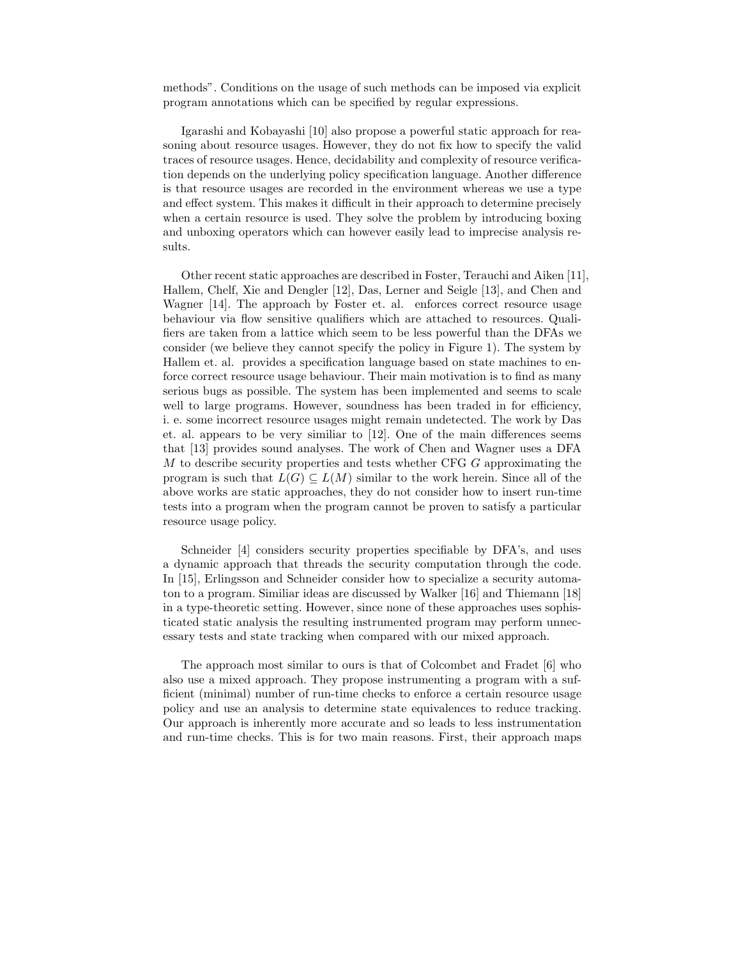methods". Conditions on the usage of such methods can be imposed via explicit program annotations which can be specified by regular expressions.

Igarashi and Kobayashi [10] also propose a powerful static approach for reasoning about resource usages. However, they do not fix how to specify the valid traces of resource usages. Hence, decidability and complexity of resource verification depends on the underlying policy specification language. Another difference is that resource usages are recorded in the environment whereas we use a type and effect system. This makes it difficult in their approach to determine precisely when a certain resource is used. They solve the problem by introducing boxing and unboxing operators which can however easily lead to imprecise analysis results.

Other recent static approaches are described in Foster, Terauchi and Aiken [11], Hallem, Chelf, Xie and Dengler [12], Das, Lerner and Seigle [13], and Chen and Wagner [14]. The approach by Foster et. al. enforces correct resource usage behaviour via flow sensitive qualifiers which are attached to resources. Qualifiers are taken from a lattice which seem to be less powerful than the DFAs we consider (we believe they cannot specify the policy in Figure 1). The system by Hallem et. al. provides a specification language based on state machines to enforce correct resource usage behaviour. Their main motivation is to find as many serious bugs as possible. The system has been implemented and seems to scale well to large programs. However, soundness has been traded in for efficiency, i. e. some incorrect resource usages might remain undetected. The work by Das et. al. appears to be very similiar to [12]. One of the main differences seems that [13] provides sound analyses. The work of Chen and Wagner uses a DFA M to describe security properties and tests whether CFG G approximating the program is such that  $L(G) \subseteq L(M)$  similar to the work herein. Since all of the above works are static approaches, they do not consider how to insert run-time tests into a program when the program cannot be proven to satisfy a particular resource usage policy.

Schneider [4] considers security properties specifiable by DFA's, and uses a dynamic approach that threads the security computation through the code. In [15], Erlingsson and Schneider consider how to specialize a security automaton to a program. Similiar ideas are discussed by Walker [16] and Thiemann [18] in a type-theoretic setting. However, since none of these approaches uses sophisticated static analysis the resulting instrumented program may perform unnecessary tests and state tracking when compared with our mixed approach.

The approach most similar to ours is that of Colcombet and Fradet [6] who also use a mixed approach. They propose instrumenting a program with a sufficient (minimal) number of run-time checks to enforce a certain resource usage policy and use an analysis to determine state equivalences to reduce tracking. Our approach is inherently more accurate and so leads to less instrumentation and run-time checks. This is for two main reasons. First, their approach maps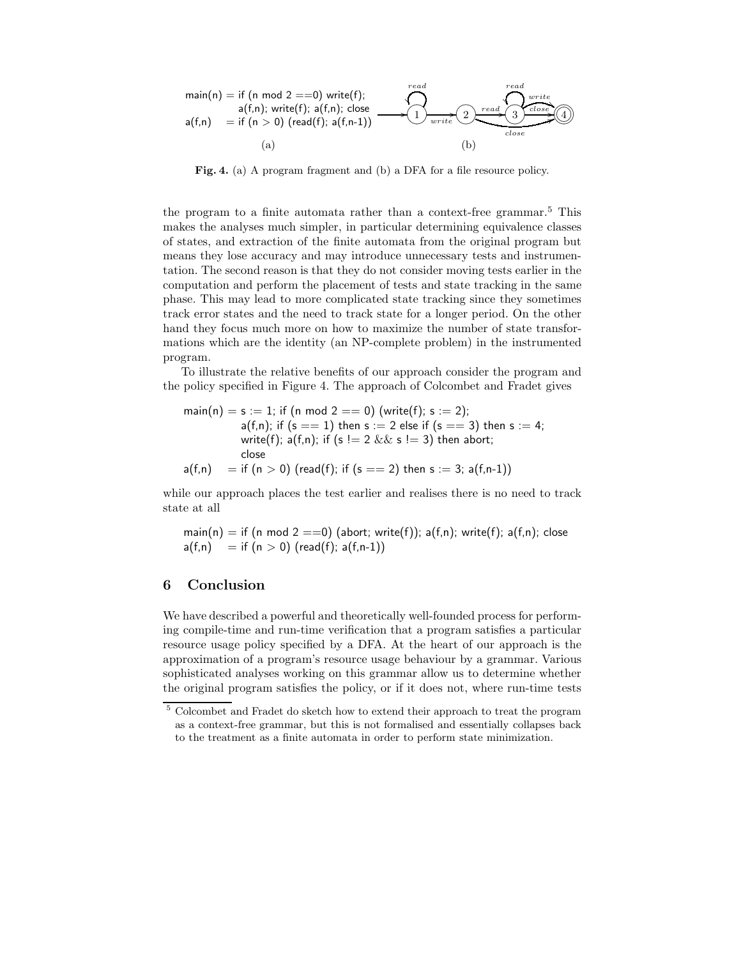

Fig. 4. (a) A program fragment and (b) a DFA for a file resource policy.

the program to a finite automata rather than a context-free grammar.<sup>5</sup> This makes the analyses much simpler, in particular determining equivalence classes of states, and extraction of the finite automata from the original program but means they lose accuracy and may introduce unnecessary tests and instrumentation. The second reason is that they do not consider moving tests earlier in the computation and perform the placement of tests and state tracking in the same phase. This may lead to more complicated state tracking since they sometimes track error states and the need to track state for a longer period. On the other hand they focus much more on how to maximize the number of state transformations which are the identity (an NP-complete problem) in the instrumented program.

To illustrate the relative benefits of our approach consider the program and the policy specified in Figure 4. The approach of Colcombet and Fradet gives

$$
\begin{array}{ll}\n\text{main}(n) = s := 1; \text{ if } (n \text{ mod } 2 == 0) \text{ (write(f); } s := 2); \\
\text{a}(f,n); \text{ if } (s == 1) \text{ then } s := 2 \text{ else if } (s == 3) \text{ then } s := 4; \\
\text{write}(f); \text{a}(f,n); \text{ if } (s != 2 \& \& s != 3) \text{ then abort}; \\
\text{close} \\
\text{a}(f,n) &= \text{if } (n > 0) \text{ (read(f); if } (s == 2) \text{ then } s := 3; \text{ a}(f,n-1))\n\end{array}
$$

while our approach places the test earlier and realises there is no need to track state at all

$$
\begin{array}{ll}\n\text{main}(n) = \text{if (n mod 2} == 0) \text{ (abort; write(f)); } a(f, n); \text{ write(f); } a(f, n); \text{ close} \\
a(f, n) = \text{if (n > 0) (read(f); } a(f, n-1))\n\end{array}
$$

# 6 Conclusion

We have described a powerful and theoretically well-founded process for performing compile-time and run-time verification that a program satisfies a particular resource usage policy specified by a DFA. At the heart of our approach is the approximation of a program's resource usage behaviour by a grammar. Various sophisticated analyses working on this grammar allow us to determine whether the original program satisfies the policy, or if it does not, where run-time tests

<sup>5</sup> Colcombet and Fradet do sketch how to extend their approach to treat the program as a context-free grammar, but this is not formalised and essentially collapses back to the treatment as a finite automata in order to perform state minimization.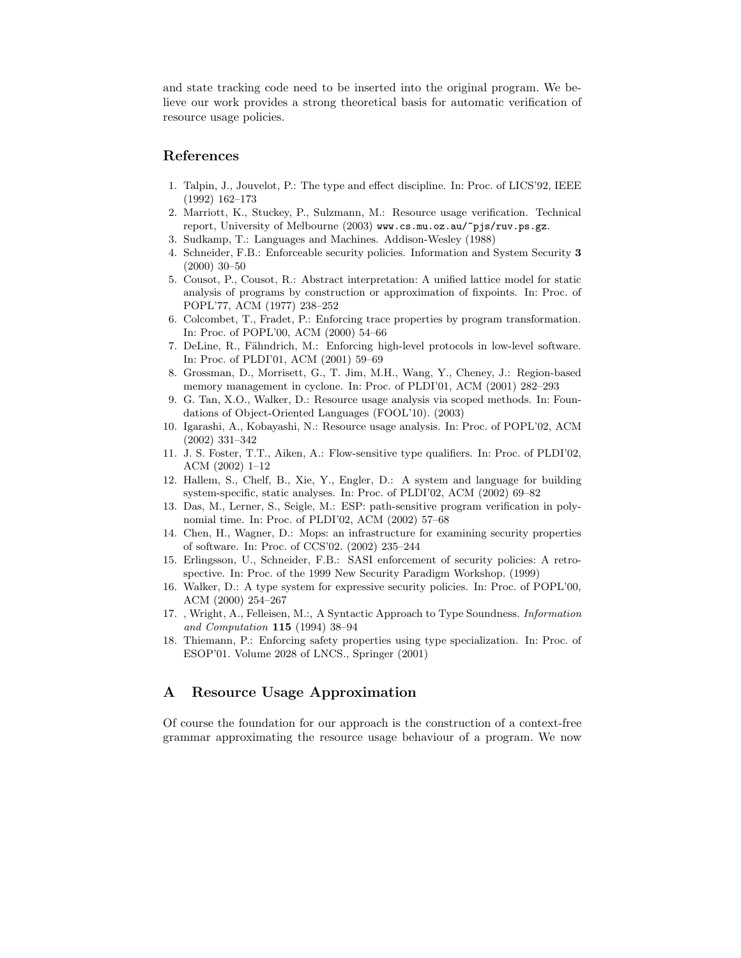and state tracking code need to be inserted into the original program. We believe our work provides a strong theoretical basis for automatic verification of resource usage policies.

# References

- 1. Talpin, J., Jouvelot, P.: The type and effect discipline. In: Proc. of LICS'92, IEEE (1992) 162–173
- 2. Marriott, K., Stuckey, P., Sulzmann, M.: Resource usage verification. Technical report, University of Melbourne (2003) www.cs.mu.oz.au/~pjs/ruv.ps.gz.
- 3. Sudkamp, T.: Languages and Machines. Addison-Wesley (1988)
- 4. Schneider, F.B.: Enforceable security policies. Information and System Security 3 (2000) 30–50
- 5. Cousot, P., Cousot, R.: Abstract interpretation: A unified lattice model for static analysis of programs by construction or approximation of fixpoints. In: Proc. of POPL'77, ACM (1977) 238–252
- 6. Colcombet, T., Fradet, P.: Enforcing trace properties by program transformation. In: Proc. of POPL'00, ACM (2000) 54–66
- 7. DeLine, R., Fähndrich, M.: Enforcing high-level protocols in low-level software. In: Proc. of PLDI'01, ACM (2001) 59–69
- 8. Grossman, D., Morrisett, G., T. Jim, M.H., Wang, Y., Cheney, J.: Region-based memory management in cyclone. In: Proc. of PLDI'01, ACM (2001) 282–293
- 9. G. Tan, X.O., Walker, D.: Resource usage analysis via scoped methods. In: Foundations of Object-Oriented Languages (FOOL'10). (2003)
- 10. Igarashi, A., Kobayashi, N.: Resource usage analysis. In: Proc. of POPL'02, ACM (2002) 331–342
- 11. J. S. Foster, T.T., Aiken, A.: Flow-sensitive type qualifiers. In: Proc. of PLDI'02, ACM (2002) 1–12
- 12. Hallem, S., Chelf, B., Xie, Y., Engler, D.: A system and language for building system-specific, static analyses. In: Proc. of PLDI'02, ACM (2002) 69–82
- 13. Das, M., Lerner, S., Seigle, M.: ESP: path-sensitive program verification in polynomial time. In: Proc. of PLDI'02, ACM (2002) 57–68
- 14. Chen, H., Wagner, D.: Mops: an infrastructure for examining security properties of software. In: Proc. of CCS'02. (2002) 235–244
- 15. Erlingsson, U., Schneider, F.B.: SASI enforcement of security policies: A retrospective. In: Proc. of the 1999 New Security Paradigm Workshop. (1999)
- 16. Walker, D.: A type system for expressive security policies. In: Proc. of POPL'00, ACM (2000) 254–267
- 17. , Wright, A., Felleisen, M.:, A Syntactic Approach to Type Soundness. Information and Computation 115 (1994) 38–94
- 18. Thiemann, P.: Enforcing safety properties using type specialization. In: Proc. of ESOP'01. Volume 2028 of LNCS., Springer (2001)

# A Resource Usage Approximation

Of course the foundation for our approach is the construction of a context-free grammar approximating the resource usage behaviour of a program. We now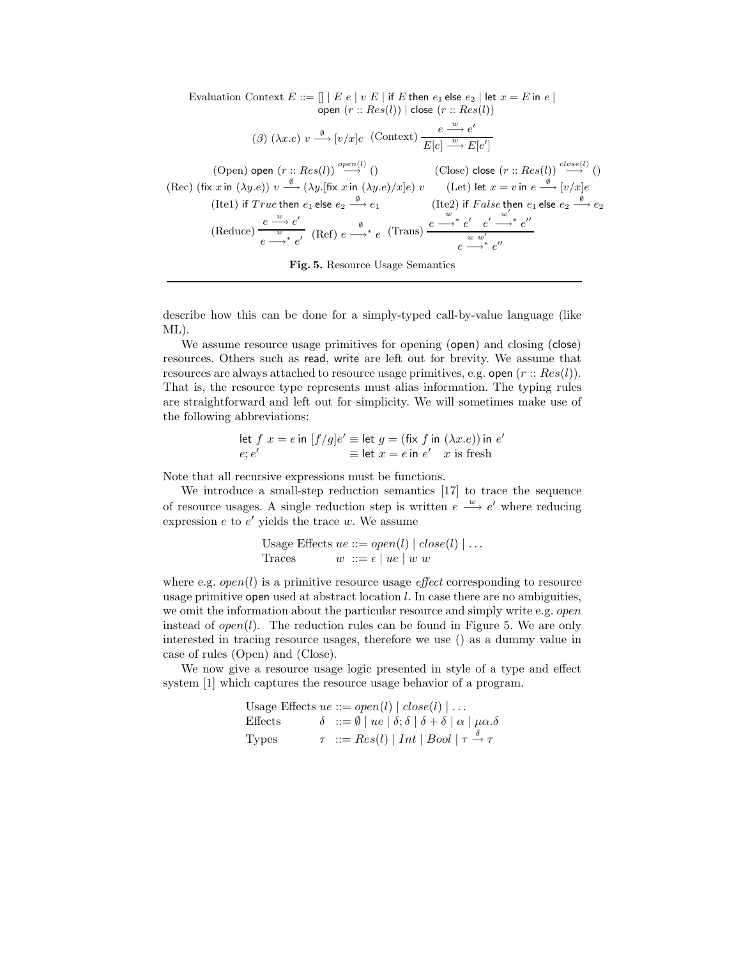Evaluation Context 
$$
E ::= \left[ \mid E e \mid v \ E \mid \text{if } E \text{ then } e_1 \text{ else } e_2 \mid \text{let } x = E \text{ in } e \mid \text{open } (r :: Res(l)) \mid \text{close } (r :: Res(l)) \right]
$$

\n
$$
\left( \beta \right) (\lambda x.e) \ v \xrightarrow{\emptyset} \left[ v/x \right] e \text{ (Context)} \xrightarrow{e \xrightarrow{w} e'} e'
$$

\n(Open) open  $(r :: Res(l)) \xrightarrow{open(l)} ()$  (Close) close  $(r :: Res(l)) \xrightarrow{close(l)} ()$ 

\n(Rec) (fix  $x$  in  $(\lambda y.e)) v \xrightarrow{\emptyset} (\lambda y.[fix \ x \text{ in } (\lambda y.e)/x]e) v$  (Let) let  $x = v$  in  $e \xrightarrow{\emptyset} \left[ v/x \right] e$ 

\n(Ite1) if  $True$  then  $e_1$  else  $e_2 \xrightarrow{\emptyset} e_1$  (Ite2) if  $False$  then  $e_1$  else  $e_2 \xrightarrow{\emptyset} e_2$ 

\n(Reduce)  $\frac{e \xrightarrow{w} e'}{w} e'$  (Ref)  $e \xrightarrow{w} e \text{ (Trans)} \xrightarrow{e \xrightarrow{w} e'} e'$ 

Fig. 5. Resource Usage Semantics

describe how this can be done for a simply-typed call-by-value language (like ML).

We assume resource usage primitives for opening (open) and closing (close) resources. Others such as read, write are left out for brevity. We assume that resources are always attached to resource usage primitives, e.g. open  $(r::Res(l))$ . That is, the resource type represents must alias information. The typing rules are straightforward and left out for simplicity. We will sometimes make use of the following abbreviations:

let 
$$
f x = e
$$
 in  $[f/g]e' \equiv$  let  $g = (\text{fix } f \text{ in } (\lambda x.e))$  in  $e'$   
 $e; e' \equiv$  let  $x = e$  in  $e' x$  is fresh

Note that all recursive expressions must be functions.

We introduce a small-step reduction semantics [17] to trace the sequence of resource usages. A single reduction step is written  $e \stackrel{w}{\longrightarrow} e'$  where reducing expression  $e$  to  $e'$  yields the trace  $w$ . We assume

Usage Effects 
$$
ue ::= open(l) | close(l) | \ldots
$$

\nTraces

\n
$$
w ::= \epsilon | ue | w w
$$

where e.g.  $open(l)$  is a primitive resource usage *effect* corresponding to resource usage primitive open used at abstract location  $l$ . In case there are no ambiguities, we omit the information about the particular resource and simply write e.g. *open* instead of  $open(l)$ . The reduction rules can be found in Figure 5. We are only interested in tracing resource usages, therefore we use () as a dummy value in case of rules (Open) and (Close).

We now give a resource usage logic presented in style of a type and effect system [1] which captures the resource usage behavior of a program.

Usage Effects 
$$
u \, : := open(l) \mid close(l) \mid \ldots
$$

\nEffects  $δ ::= ∅ \mid ue \mid δ; δ \mid δ + δ \mid α \mid μα.δ$ 

\nTypes  $τ ::= Res(l) \mid Int \mid Bool \mid τ \stackrel{δ}{\rightarrow} τ$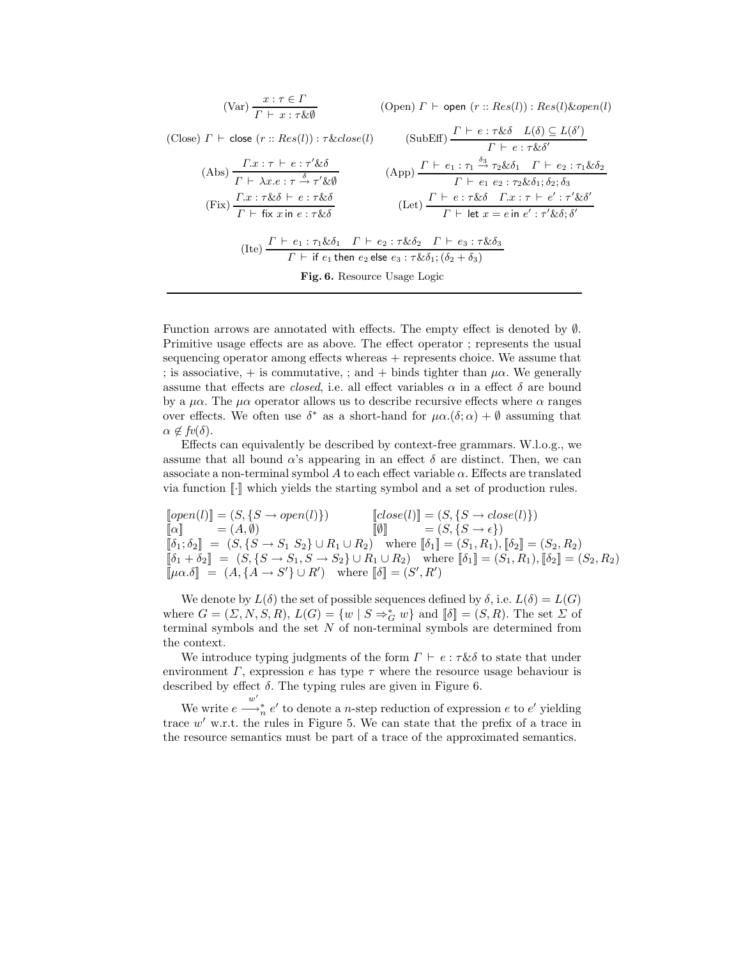$$
(\text{Var}) \frac{x : \tau \in \Gamma}{\Gamma \vdash x : \tau \& \emptyset}
$$

(Open)  $\Gamma \vdash$  open  $(r :: Res(l)) : Res(l) \& open(l)$ 

(Close) 
$$
\Gamma \vdash \text{close}(r :: Res(l)) : \tau \& \text{close}(l)
$$

\n(SubEff)  $\frac{\Gamma \vdash e : \tau \& \delta \quad L(\delta) \subseteq L(\delta')}{\Gamma \vdash e : \tau \& \delta'}$ 

\n(Abs)  $\frac{\Gamma.x : \tau \vdash e : \tau' \& \delta}{\Gamma \vdash \lambda x.e : \tau \xrightarrow{\delta} \tau' \& \theta}$ 

\n(App)  $\frac{\Gamma \vdash e_1 : \tau_1 \xrightarrow{\delta} \tau_2 \& \delta_1 \quad \Gamma \vdash e_2 : \tau_1 \& \delta_2}{\Gamma \vdash e_1 \cdot e_2 : \tau_2 \& \delta_1; \delta_2; \delta_3}$ 

\n(Fix)  $\frac{\Gamma.x : \tau \& \delta \vdash e : \tau \& \delta}{\Gamma \vdash \text{fix } x \text{ in } e : \tau \& \delta}$ 

\n(Let)  $\frac{\Gamma \vdash e : \tau \& \delta \quad \Gamma.x : \tau \vdash e' : \tau' \& \delta'_1 \& \Gamma \vdash \text{let } x = e \text{ in } e' : \tau' \& \delta'_1 \& \Gamma \vdash \text{let } x = e \text{ in } e' : \tau' \& \delta'_1 \& \Gamma \vdash \text{if } e_1 \text{ then } e_2 \text{ else } e_3 : \tau \& \delta_1; (\delta_2 + \delta_3)$ 

\n**Fig. 6.** Resource Usage Logic

Function arrows are annotated with effects. The empty effect is denoted by  $\emptyset$ . Primitive usage effects are as above. The effect operator ; represents the usual sequencing operator among effects whereas + represents choice. We assume that ; is associative, + is commutative, ; and + binds tighter than  $\mu\alpha$ . We generally assume that effects are *closed*, i.e. all effect variables  $\alpha$  in a effect  $\delta$  are bound by a  $\mu\alpha$ . The  $\mu\alpha$  operator allows us to describe recursive effects where  $\alpha$  ranges over effects. We often use  $\delta^*$  as a short-hand for  $\mu\alpha.(\delta;\alpha) + \emptyset$  assuming that  $\alpha \notin \mathit{fv}(\delta)$ .

Effects can equivalently be described by context-free grammars. W.l.o.g., we assume that all bound  $\alpha$ 's appearing in an effect  $\delta$  are distinct. Then, we can associate a non-terminal symbol  $A$  to each effect variable  $\alpha$ . Effects are translated via function [[·]] which yields the starting symbol and a set of production rules.

 $[open(l)] = (S, \{S \rightarrow open(l)\})$   $[close(l)] = (S, \{S \rightarrow close(l)\})$  $\llbracket \alpha \rrbracket$  =  $(A, \emptyset)$   $\llbracket \emptyset \rrbracket$  =  $(S, \{S \rightarrow \epsilon\})$  $[\![\delta_1;\delta_2]\!] = (S, \{S \to S_1 \ S_2\} \cup R_1 \cup R_2)$  where  $[\![\delta_1]\!] = (S_1, R_1), [\![\delta_2]\!] = (S_2, R_2)$  $[\![\delta_1 + \delta_2]\!] = (S, \{S \rightarrow S_1, S \rightarrow S_2\} \cup R_1 \cup R_2)$  where  $[\![\delta_1]\!] = (S_1, R_1), [\![\delta_2]\!] = (S_2, R_2)$  $[\![\mu\alpha.\delta]\!] = (A, \{A \rightarrow S'\} \cup R')$  where  $[\![\delta]\!] = (S', R')$ 

We denote by  $L(\delta)$  the set of possible sequences defined by  $\delta$ , i.e.  $L(\delta) = L(G)$ where  $G = (\Sigma, N, S, R), L(G) = \{w \mid S \Rightarrow_G^* w\}$  and  $[\![\delta]\!] = (S, R)$ . The set  $\Sigma$  of terminal symbols and the set  $N$  of non-terminal symbols are determined from the context.

We introduce typing judgments of the form  $\Gamma \vdash e : \tau \& \delta$  to state that under environment  $\Gamma$ , expression  $e$  has type  $\tau$  where the resource usage behaviour is described by effect  $\delta$ . The typing rules are given in Figure 6.

We write  $e \stackrel{w'}{\longrightarrow}$  $→<sup>*</sup><sub>n</sub> e'$  to denote a *n*-step reduction of expression *e* to *e'* yielding trace w' w.r.t. the rules in Figure 5. We can state that the prefix of a trace in the resource semantics must be part of a trace of the approximated semantics.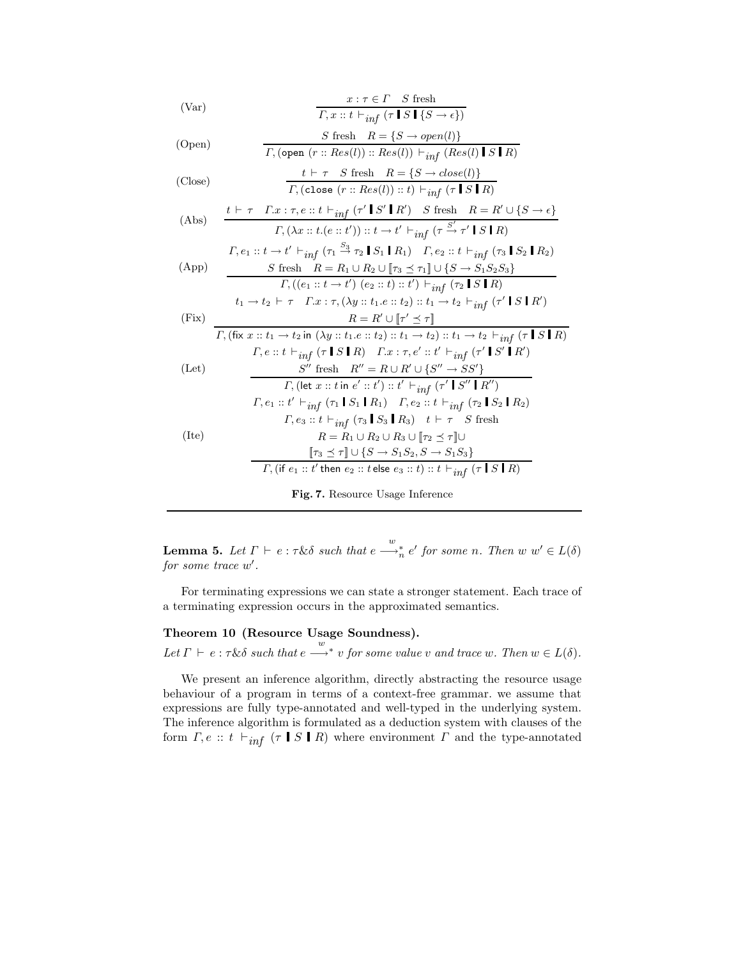(Var)  

$$
\frac{x : \tau \in \Gamma \quad S \text{ fresh}}{\Gamma, x :: t \vdash_{\text{inf}} (\tau \mathbf{1} S \mathbf{1} \{S \to \epsilon\})}
$$

(Open)  
\n
$$
\frac{S \text{ fresh } R = \{S \rightarrow open(l)\}}{\Gamma, (\text{open } (r :: Res(l)) :: Res(l)) \vdash_{inf} (Res(l) \mid S \mid R)}
$$

(Close)  
\n
$$
\frac{t \vdash \tau \quad S \text{ fresh} \quad R = \{S \rightarrow close(l)\}}{\Gamma, (\text{close } (r :: Res(l)) :: t) \vdash_{inf} (\tau \mid S \mid R)}
$$

(Abs) 
$$
\frac{t \vdash \tau \quad \Gamma.x : \tau, e :: t \vdash_{inf} (\tau' \mathbin{\|} S' \mathbin{\|} R') \quad S \text{ fresh} \quad R = R' \cup \{S \to \epsilon\}}{\Gamma, (\lambda x :: t.(e :: t')) :: t \to t' \vdash_{inf} (\tau \xrightarrow{S'} \tau' \mathbin{\|} S \mathbin{\|} R)}
$$

(App)  
\n
$$
F, e_1 :: t \to t' \vdash_{inf} (\tau_1 \xrightarrow{S_3} \tau_2 \rceil S_1 \rceil R_1) \quad F, e_2 :: t \vdash_{inf} (\tau_3 \rceil S_2 \rceil R_2)
$$
\n
$$
= R_1 \cup R_2 \cup [\tau_3 \preceq \tau_1] \cup \{S \to S_1 S_2 S_3\}
$$
\n
$$
= F, ((e_1 :: t \to t') (e_2 :: t) :: t') \vdash_{inf} (\tau_2 \rceil S \rceil R)
$$
\n
$$
t_1 \to t_2 \vdash \tau \quad F.x : \tau, (\lambda y :: t_1 . e :: t_2) :: t_1 \to t_2 \vdash_{inf} (\tau' \rceil S \rceil R')
$$
\n
$$
= R' \cup [\tau' \preceq \tau]
$$
\n
$$
F, (\text{fix } x :: t_1 \to t_2 \text{ in } (\lambda y :: t_1 . e :: t_2) :: t_1 \to t_2) :: t_1 \to t_2 \vdash_{inf} (\tau \rceil S \rceil R)
$$
\n
$$
F, e :: t \vdash_{inf} (\tau \rceil S \rceil R) \quad F.x : \tau, e' :: t' \vdash_{inf} (\tau' \rceil S' \rceil R')
$$
\n
$$
= F, (\text{let } x :: t \text{ in } e' :: t') :: t' \vdash_{inf} (\tau' \rceil S'' \rceil R'')
$$
\n
$$
F, e_1 :: t' \vdash_{inf} (\tau_1 \rceil S_1 \rceil R_1) \quad F, e_2 :: t \vdash_{inf} (\tau_2 \rceil S_2 \rceil R_2)
$$
\n
$$
= F, e_1 :: t' \vdash_{inf} (\tau_3 \rceil S_3 \rceil R_3) \quad t \vdash \tau \quad S \text{ fresh}
$$
\n
$$
R = R_1 \cup R_2 \cup R_3 \cup [\tau_2 \preceq \tau] \cup
$$
\n
$$
= [T_3 \preceq \tau] \cup \{S \to S_1 S_2, S \to S_1 S_3\}
$$
\n
$$
= F, (\text{if } e_1 :: t' \text{ then } e_2 :: t \text{ else } e_3 :: t) :: t' \vdash_{inf} (\tau \rceil S \rceil R)
$$

Fig. 7. Resource Usage Inference

**Lemma 5.** Let  $\Gamma \vdash e : \tau \& \delta$  such that  $e \stackrel{w}{\longrightarrow_n^*} e'$  for some n. Then  $w \ w' \in L(\delta)$  $for some trace w'.$ 

For terminating expressions we can state a stronger statement. Each trace of a terminating expression occurs in the approximated semantics.

# Theorem 10 (Resource Usage Soundness).

Let  $\Gamma \vdash e : \tau \& \delta$  such that  $e \stackrel{w}{\longrightarrow}^* v$  for some value v and trace w. Then  $w \in L(\delta)$ .

We present an inference algorithm, directly abstracting the resource usage behaviour of a program in terms of a context-free grammar. we assume that expressions are fully type-annotated and well-typed in the underlying system. The inference algorithm is formulated as a deduction system with clauses of the form  $\Gamma, e :: t \vdash_{inf} (\tau \perp S \perp R)$  where environment  $\Gamma$  and the type-annotated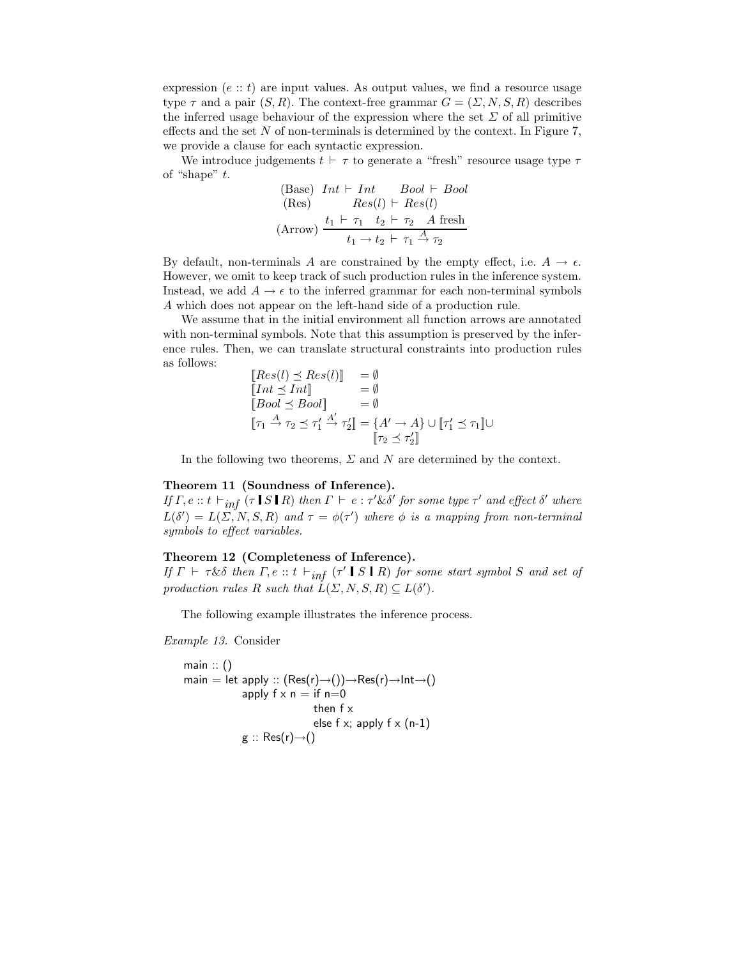expression  $(e:: t)$  are input values. As output values, we find a resource usage type  $\tau$  and a pair  $(S, R)$ . The context-free grammar  $G = (\Sigma, N, S, R)$  describes the inferred usage behaviour of the expression where the set  $\Sigma$  of all primitive effects and the set  $N$  of non-terminals is determined by the context. In Figure 7, we provide a clause for each syntactic expression.

We introduce judgements  $t \vdash \tau$  to generate a "fresh" resource usage type  $\tau$ of "shape" t.

(Base) Int 
$$
\vdash
$$
 Int  $\quad$ Bool  $\vdash$  Bool  
\n(Res) \t $\quad$  Res(l)  $\vdash$  Res(l)  
\n(Arrow)  $\frac{t_1 \vdash \tau_1 \quad t_2 \vdash \tau_2 \quad A \text{ fresh}}{t_1 \rightarrow t_2 \vdash \tau_1 \stackrel{A}{\rightarrow} \tau_2}$ 

By default, non-terminals A are constrained by the empty effect, i.e.  $A \rightarrow \epsilon$ . However, we omit to keep track of such production rules in the inference system. Instead, we add  $A \rightarrow \epsilon$  to the inferred grammar for each non-terminal symbols A which does not appear on the left-hand side of a production rule.

We assume that in the initial environment all function arrows are annotated with non-terminal symbols. Note that this assumption is preserved by the inference rules. Then, we can translate structural constraints into production rules as follows:

$$
\begin{array}{ll}\n[Res(l) \preceq Res(l)] & = \emptyset \\
[Int \preceq Int] & = \emptyset \\
[Bool \preceq Bool] & = \emptyset \\
[\tau_1 \stackrel{A}{\rightarrow} \tau_2 \preceq \tau'_1 \stackrel{A'}{\rightarrow} \tau'_2] = \{A' \rightarrow A\} \cup [\tau'_1 \preceq \tau_1] \cup \\
[\tau_2 \preceq \tau'_2]\n\end{array}
$$

In the following two theorems,  $\Sigma$  and  $N$  are determined by the context.

### Theorem 11 (Soundness of Inference).

If Γ,  $e::t ⊢_{\textit{inf}}$  (τ | S | R) then  $\varGamma \vdash e:\tau'$ &δ' for some type  $\tau'$  and effect δ' where  $L(\delta') = L(\Sigma, N, S, R)$  and  $\tau = \phi(\tau')$  where  $\phi$  is a mapping from non-terminal symbols to effect variables.

#### Theorem 12 (Completeness of Inference).

If  $\Gamma \ \vdash \ \tau \ \& \delta \ then \ \varGamma, e :: t \ \vdash_{\textit{inf}} \ (\tau' \ \blacksquare \ S \ \blacksquare \ R) \ \textit{for some start symbol} \ S \ \textit{and set of}$ production rules R such that  $\dot{L}(\Sigma, N, S, R) \subseteq L(\delta').$ 

The following example illustrates the inference process.

Example 13. Consider

main :: () main = let apply :: (Res(r)→())→Res(r)→Int→() apply f x n = if n=0 then f x else f x; apply f x (n-1) g :: Res(r)→()